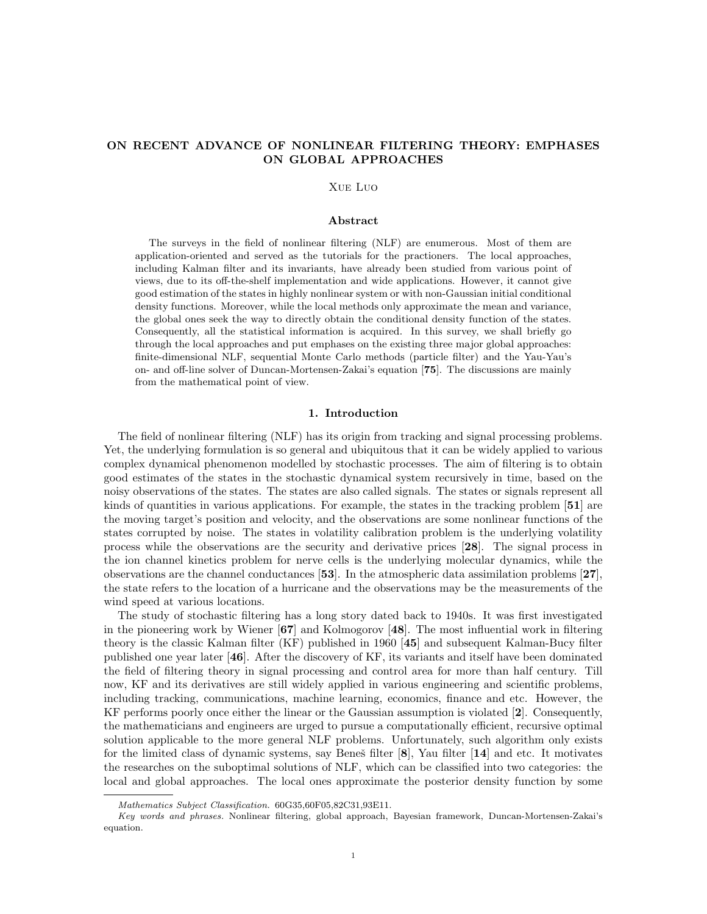# ON RECENT ADVANCE OF NONLINEAR FILTERING THEORY: EMPHASES ON GLOBAL APPROACHES

#### Xue Luo

## Abstract

The surveys in the field of nonlinear filtering (NLF) are enumerous. Most of them are application-oriented and served as the tutorials for the practioners. The local approaches, including Kalman filter and its invariants, have already been studied from various point of views, due to its off-the-shelf implementation and wide applications. However, it cannot give good estimation of the states in highly nonlinear system or with non-Gaussian initial conditional density functions. Moreover, while the local methods only approximate the mean and variance, the global ones seek the way to directly obtain the conditional density function of the states. Consequently, all the statistical information is acquired. In this survey, we shall briefly go through the local approaches and put emphases on the existing three major global approaches: finite-dimensional NLF, sequential Monte Carlo methods (particle filter) and the Yau-Yau's on- and off-line solver of Duncan-Mortensen-Zakai's equation [75]. The discussions are mainly from the mathematical point of view.

#### 1. Introduction

The field of nonlinear filtering (NLF) has its origin from tracking and signal processing problems. Yet, the underlying formulation is so general and ubiquitous that it can be widely applied to various complex dynamical phenomenon modelled by stochastic processes. The aim of filtering is to obtain good estimates of the states in the stochastic dynamical system recursively in time, based on the noisy observations of the states. The states are also called signals. The states or signals represent all kinds of quantities in various applications. For example, the states in the tracking problem  $[51]$  are the moving target's position and velocity, and the observations are some nonlinear functions of the states corrupted by noise. The states in volatility calibration problem is the underlying volatility process while the observations are the security and derivative prices [28]. The signal process in the ion channel kinetics problem for nerve cells is the underlying molecular dynamics, while the observations are the channel conductances [53]. In the atmospheric data assimilation problems [27], the state refers to the location of a hurricane and the observations may be the measurements of the wind speed at various locations.

The study of stochastic filtering has a long story dated back to 1940s. It was first investigated in the pioneering work by Wiener  $[67]$  and Kolmogorov [48]. The most influential work in filtering theory is the classic Kalman filter (KF) published in 1960 [45] and subsequent Kalman-Bucy filter published one year later [46]. After the discovery of KF, its variants and itself have been dominated the field of filtering theory in signal processing and control area for more than half century. Till now, KF and its derivatives are still widely applied in various engineering and scientific problems, including tracking, communications, machine learning, economics, finance and etc. However, the KF performs poorly once either the linear or the Gaussian assumption is violated [2]. Consequently, the mathematicians and engineers are urged to pursue a computationally efficient, recursive optimal solution applicable to the more general NLF problems. Unfortunately, such algorithm only exists for the limited class of dynamic systems, say Beneš filter  $[8]$ , Yau filter  $[14]$  and etc. It motivates the researches on the suboptimal solutions of NLF, which can be classified into two categories: the local and global approaches. The local ones approximate the posterior density function by some

Mathematics Subject Classification. 60G35,60F05,82C31,93E11.

Key words and phrases. Nonlinear filtering, global approach, Bayesian framework, Duncan-Mortensen-Zakai's equation.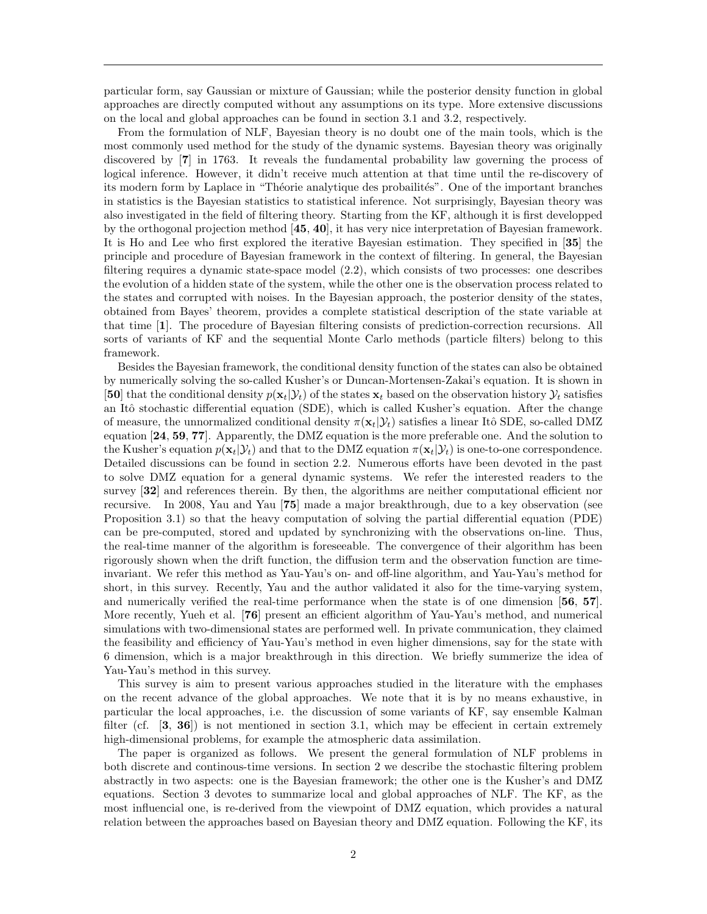particular form, say Gaussian or mixture of Gaussian; while the posterior density function in global approaches are directly computed without any assumptions on its type. More extensive discussions on the local and global approaches can be found in section 3.1 and 3.2, respectively.

From the formulation of NLF, Bayesian theory is no doubt one of the main tools, which is the most commonly used method for the study of the dynamic systems. Bayesian theory was originally discovered by [7] in 1763. It reveals the fundamental probability law governing the process of logical inference. However, it didn't receive much attention at that time until the re-discovery of its modern form by Laplace in "Théorie analytique des probailités". One of the important branches in statistics is the Bayesian statistics to statistical inference. Not surprisingly, Bayesian theory was also investigated in the field of filtering theory. Starting from the KF, although it is first developped by the orthogonal projection method [45, 40], it has very nice interpretation of Bayesian framework. It is Ho and Lee who first explored the iterative Bayesian estimation. They specified in [35] the principle and procedure of Bayesian framework in the context of filtering. In general, the Bayesian filtering requires a dynamic state-space model (2.2), which consists of two processes: one describes the evolution of a hidden state of the system, while the other one is the observation process related to the states and corrupted with noises. In the Bayesian approach, the posterior density of the states, obtained from Bayes' theorem, provides a complete statistical description of the state variable at that time [1]. The procedure of Bayesian filtering consists of prediction-correction recursions. All sorts of variants of KF and the sequential Monte Carlo methods (particle filters) belong to this framework.

Besides the Bayesian framework, the conditional density function of the states can also be obtained by numerically solving the so-called Kusher's or Duncan-Mortensen-Zakai's equation. It is shown in [50] that the conditional density  $p(\mathbf{x}_t|\mathcal{Y}_t)$  of the states  $\mathbf{x}_t$  based on the observation history  $\mathcal{Y}_t$  satisfies an Itô stochastic differential equation (SDE), which is called Kusher's equation. After the change of measure, the unnormalized conditional density  $\pi(\mathbf{x}_t|\mathcal{Y}_t)$  satisfies a linear Itô SDE, so-called DMZ equation [24, 59, 77]. Apparently, the DMZ equation is the more preferable one. And the solution to the Kusher's equation  $p(\mathbf{x}_t|\mathcal{Y}_t)$  and that to the DMZ equation  $\pi(\mathbf{x}_t|\mathcal{Y}_t)$  is one-to-one correspondence. Detailed discussions can be found in section 2.2. Numerous efforts have been devoted in the past to solve DMZ equation for a general dynamic systems. We refer the interested readers to the survey [32] and references therein. By then, the algorithms are neither computational efficient nor recursive. In 2008, Yau and Yau [75] made a major breakthrough, due to a key observation (see Proposition 3.1) so that the heavy computation of solving the partial differential equation (PDE) can be pre-computed, stored and updated by synchronizing with the observations on-line. Thus, the real-time manner of the algorithm is foreseeable. The convergence of their algorithm has been rigorously shown when the drift function, the diffusion term and the observation function are timeinvariant. We refer this method as Yau-Yau's on- and off-line algorithm, and Yau-Yau's method for short, in this survey. Recently, Yau and the author validated it also for the time-varying system, and numerically verified the real-time performance when the state is of one dimension [56, 57]. More recently, Yueh et al. [76] present an efficient algorithm of Yau-Yau's method, and numerical simulations with two-dimensional states are performed well. In private communication, they claimed the feasibility and efficiency of Yau-Yau's method in even higher dimensions, say for the state with 6 dimension, which is a major breakthrough in this direction. We briefly summerize the idea of Yau-Yau's method in this survey.

This survey is aim to present various approaches studied in the literature with the emphases on the recent advance of the global approaches. We note that it is by no means exhaustive, in particular the local approaches, i.e. the discussion of some variants of KF, say ensemble Kalman filter (cf.  $[3, 36]$ ) is not mentioned in section 3.1, which may be effecient in certain extremely high-dimensional problems, for example the atmospheric data assimilation.

The paper is organized as follows. We present the general formulation of NLF problems in both discrete and continous-time versions. In section 2 we describe the stochastic filtering problem abstractly in two aspects: one is the Bayesian framework; the other one is the Kusher's and DMZ equations. Section 3 devotes to summarize local and global approaches of NLF. The KF, as the most influencial one, is re-derived from the viewpoint of DMZ equation, which provides a natural relation between the approaches based on Bayesian theory and DMZ equation. Following the KF, its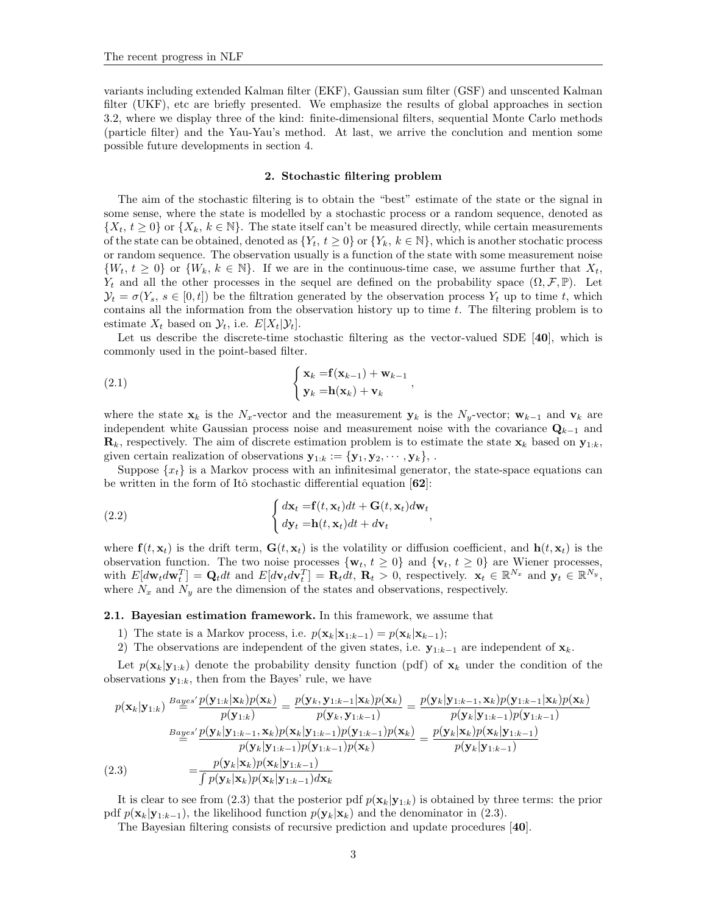variants including extended Kalman filter (EKF), Gaussian sum filter (GSF) and unscented Kalman filter (UKF), etc are briefly presented. We emphasize the results of global approaches in section 3.2, where we display three of the kind: finite-dimensional filters, sequential Monte Carlo methods (particle filter) and the Yau-Yau's method. At last, we arrive the conclution and mention some possible future developments in section 4.

### 2. Stochastic filtering problem

The aim of the stochastic filtering is to obtain the "best" estimate of the state or the signal in some sense, where the state is modelled by a stochastic process or a random sequence, denoted as  $\{X_t, t \geq 0\}$  or  $\{X_k, k \in \mathbb{N}\}$ . The state itself can't be measured directly, while certain measurements of the state can be obtained, denoted as  $\{Y_t, t \geq 0\}$  or  $\{Y_k, k \in \mathbb{N}\}$ , which is another stochatic process or random sequence. The observation usually is a function of the state with some measurement noise  $\{W_t, t \geq 0\}$  or  $\{W_k, k \in \mathbb{N}\}\$ . If we are in the continuous-time case, we assume further that  $X_t$ ,  $Y_t$  and all the other processes in the sequel are defined on the probability space  $(\Omega, \mathcal{F}, \mathbb{P})$ . Let  $\mathcal{Y}_t = \sigma(Y_s, s \in [0, t])$  be the filtration generated by the observation process  $Y_t$  up to time t, which contains all the information from the observation history up to time  $t$ . The filtering problem is to estimate  $X_t$  based on  $\mathcal{Y}_t$ , i.e.  $E[X_t|\mathcal{Y}_t]$ .

Let us describe the discrete-time stochastic filtering as the vector-valued SDE [40], which is commonly used in the point-based filter.

(2.1) 
$$
\begin{cases} \mathbf{x}_k = \mathbf{f}(\mathbf{x}_{k-1}) + \mathbf{w}_{k-1} \\ \mathbf{y}_k = \mathbf{h}(\mathbf{x}_k) + \mathbf{v}_k \end{cases}
$$

where the state  $\mathbf{x}_k$  is the N<sub>x</sub>-vector and the measurement  $\mathbf{y}_k$  is the N<sub>y</sub>-vector;  $\mathbf{w}_{k-1}$  and  $\mathbf{v}_k$  are independent white Gaussian process noise and measurement noise with the covariance  $\mathbf{Q}_{k-1}$  and  $\mathbf{R}_k$ , respectively. The aim of discrete estimation problem is to estimate the state  $\mathbf{x}_k$  based on  $\mathbf{y}_{1:k}$ , given certain realization of observations  $\mathbf{y}_{1:k} := {\mathbf{y}_1, \mathbf{y}_2, \cdots, \mathbf{y}_k}$ ,

Suppose  $\{x_t\}$  is a Markov process with an infinitesimal generator, the state-space equations can be written in the form of Itô stochastic differential equation  $[62]$ :

,

(2.2) 
$$
\begin{cases} d\mathbf{x}_t = \mathbf{f}(t, \mathbf{x}_t)dt + \mathbf{G}(t, \mathbf{x}_t)d\mathbf{w}_t\\ dy_t = \mathbf{h}(t, \mathbf{x}_t)dt + d\mathbf{v}_t \end{cases}
$$

where  $f(t, x_t)$  is the drift term,  $G(t, x_t)$  is the volatility or diffusion coefficient, and  $h(t, x_t)$  is the observation function. The two noise processes  $\{w_t, t \geq 0\}$  and  $\{v_t, t \geq 0\}$  are Wiener processes, with  $E[d\mathbf{w}_t d\mathbf{w}_t^T] = \mathbf{Q}_t dt$  and  $E[d\mathbf{v}_t d\mathbf{v}_t^T] = \mathbf{R}_t dt$ ,  $\mathbf{R}_t > 0$ , respectively.  $\mathbf{x}_t \in \mathbb{R}^{N_x}$  and  $\mathbf{y}_t \in \mathbb{R}^{N_y}$ , where  $N_x$  and  $N_y$  are the dimension of the states and observations, respectively.

# 2.1. Bayesian estimation framework. In this framework, we assume that

- 1) The state is a Markov process, i.e.  $p(\mathbf{x}_k|\mathbf{x}_{1:k-1}) = p(\mathbf{x}_k|\mathbf{x}_{k-1});$
- 2) The observations are independent of the given states, i.e.  $\mathbf{y}_{1:k-1}$  are independent of  $\mathbf{x}_k$ .

Let  $p(\mathbf{x}_k|\mathbf{y}_{1:k})$  denote the probability density function (pdf) of  $\mathbf{x}_k$  under the condition of the observations  $y_{1:k}$ , then from the Bayes' rule, we have

$$
p(\mathbf{x}_{k}|\mathbf{y}_{1:k}) \stackrel{Bayes'}{=} \frac{p(\mathbf{y}_{1:k}|\mathbf{x}_{k})p(\mathbf{x}_{k})}{p(\mathbf{y}_{1:k})} = \frac{p(\mathbf{y}_{k}, \mathbf{y}_{1:k-1}|\mathbf{x}_{k})p(\mathbf{x}_{k})}{p(\mathbf{y}_{k}, \mathbf{y}_{1:k-1})} = \frac{p(\mathbf{y}_{k}|\mathbf{y}_{1:k-1}, \mathbf{x}_{k})p(\mathbf{y}_{1:k-1}|\mathbf{x}_{k})p(\mathbf{x}_{k})}{p(\mathbf{y}_{k}|\mathbf{y}_{1:k-1})p(\mathbf{y}_{1:k-1})}
$$
\n
$$
\stackrel{Bayes'}{=} \frac{p(\mathbf{y}_{k}|\mathbf{y}_{1:k-1}, \mathbf{x}_{k})p(\mathbf{x}_{k}|\mathbf{y}_{1:k-1})p(\mathbf{y}_{1:k-1})p(\mathbf{y}_{1:k-1})p(\mathbf{y}_{1:k-1})p(\mathbf{y}_{1:k-1})}{p(\mathbf{y}_{k}|\mathbf{y}_{1:k-1})p(\mathbf{y}_{1:k-1})p(\mathbf{y}_{1:k-1})p(\mathbf{x}_{k})} = \frac{p(\mathbf{y}_{k}|\mathbf{x}_{k})p(\mathbf{x}_{k}|\mathbf{y}_{1:k-1})}{p(\mathbf{y}_{k}|\mathbf{y}_{1:k-1})}
$$
\n(2.3) 
$$
= \frac{p(\mathbf{y}_{k}|\mathbf{x}_{k})p(\mathbf{x}_{k}|\mathbf{y}_{1:k-1})d\mathbf{x}_{k}}{\int p(\mathbf{y}_{k}|\mathbf{x}_{k})p(\mathbf{x}_{k}|\mathbf{y}_{1:k-1})d\mathbf{x}_{k}}
$$

It is clear to see from (2.3) that the posterior pdf  $p(\mathbf{x}_k|\mathbf{y}_{1:k})$  is obtained by three terms: the prior pdf  $p(\mathbf{x}_k|\mathbf{y}_{1:k-1})$ , the likelihood function  $p(\mathbf{y}_k|\mathbf{x}_k)$  and the denominator in (2.3).

The Bayesian filtering consists of recursive prediction and update procedures [40].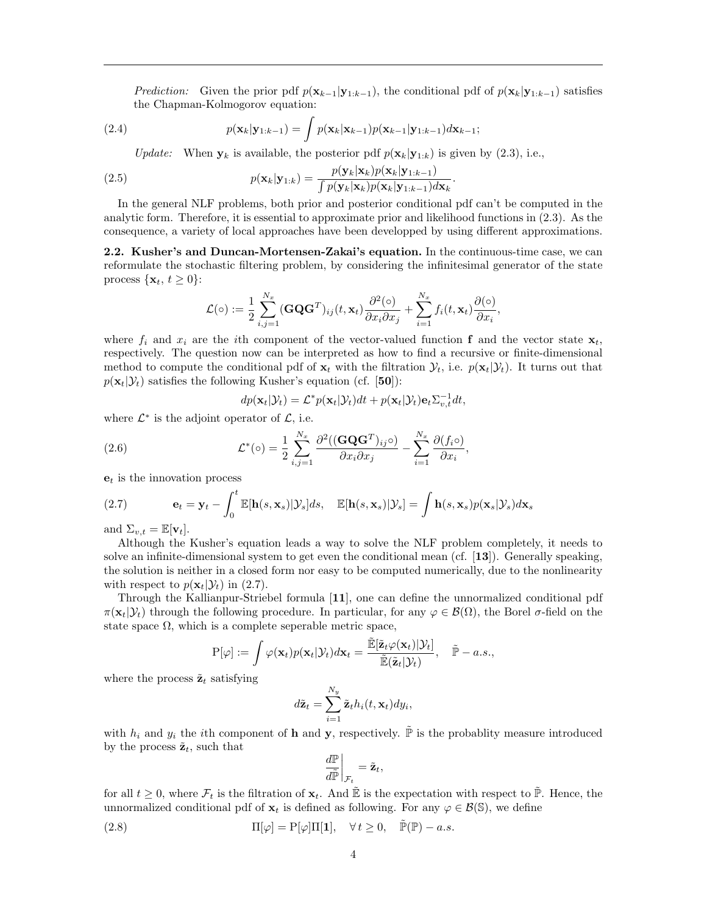*Prediction:* Given the prior pdf  $p(\mathbf{x}_{k-1}|\mathbf{y}_{1:k-1})$ , the conditional pdf of  $p(\mathbf{x}_k|\mathbf{y}_{1:k-1})$  satisfies the Chapman-Kolmogorov equation:

(2.4) 
$$
p(\mathbf{x}_k|\mathbf{y}_{1:k-1}) = \int p(\mathbf{x}_k|\mathbf{x}_{k-1})p(\mathbf{x}_{k-1}|\mathbf{y}_{1:k-1})d\mathbf{x}_{k-1};
$$

Update: When  $y_k$  is available, the posterior pdf  $p(\mathbf{x}_k|\mathbf{y}_{1:k})$  is given by (2.3), i.e.,

(2.5) 
$$
p(\mathbf{x}_k|\mathbf{y}_{1:k}) = \frac{p(\mathbf{y}_k|\mathbf{x}_k)p(\mathbf{x}_k|\mathbf{y}_{1:k-1})}{\int p(\mathbf{y}_k|\mathbf{x}_k)p(\mathbf{x}_k|\mathbf{y}_{1:k-1})d\mathbf{x}_k}.
$$

In the general NLF problems, both prior and posterior conditional pdf can't be computed in the analytic form. Therefore, it is essential to approximate prior and likelihood functions in (2.3). As the consequence, a variety of local approaches have been developped by using different approximations.

2.2. Kusher's and Duncan-Mortensen-Zakai's equation. In the continuous-time case, we can reformulate the stochastic filtering problem, by considering the infinitesimal generator of the state process  $\{\mathbf x_t, t \geq 0\}$ :

$$
\mathcal{L}(\circ) := \frac{1}{2} \sum_{i,j=1}^{N_x} (\mathbf{G} \mathbf{Q} \mathbf{G}^T)_{ij}(t, \mathbf{x}_t) \frac{\partial^2(\circ)}{\partial x_i \partial x_j} + \sum_{i=1}^{N_x} f_i(t, \mathbf{x}_t) \frac{\partial(\circ)}{\partial x_i},
$$

where  $f_i$  and  $x_i$  are the *i*th component of the vector-valued function f and the vector state  $\mathbf{x}_t$ , respectively. The question now can be interpreted as how to find a recursive or finite-dimensional method to compute the conditional pdf of  $\mathbf{x}_t$  with the filtration  $\mathcal{Y}_t$ , i.e.  $p(\mathbf{x}_t|\mathcal{Y}_t)$ . It turns out that  $p(\mathbf{x}_t|\mathcal{Y}_t)$  satisfies the following Kusher's equation (cf. [50]):

$$
dp(\mathbf{x}_t|\mathcal{Y}_t) = \mathcal{L}^* p(\mathbf{x}_t|\mathcal{Y}_t) dt + p(\mathbf{x}_t|\mathcal{Y}_t) \mathbf{e}_t \Sigma_{v,t}^{-1} dt,
$$

,

where  $\mathcal{L}^*$  is the adjoint operator of  $\mathcal{L}$ , i.e.

(2.6) 
$$
\mathcal{L}^*(\circ) = \frac{1}{2} \sum_{i,j=1}^{N_x} \frac{\partial^2 ((\mathbf{G} \mathbf{Q} \mathbf{G}^T)_{ij} \circ)}{\partial x_i \partial x_j} - \sum_{i=1}^{N_x} \frac{\partial (f_i \circ)}{\partial x_i}
$$

 $e_t$  is the innovation process

(2.7) 
$$
\mathbf{e}_t = \mathbf{y}_t - \int_0^t \mathbb{E}[\mathbf{h}(s, \mathbf{x}_s)|\mathcal{Y}_s]ds, \quad \mathbb{E}[\mathbf{h}(s, \mathbf{x}_s)|\mathcal{Y}_s] = \int \mathbf{h}(s, \mathbf{x}_s)p(\mathbf{x}_s|\mathcal{Y}_s) d\mathbf{x}_s
$$

and  $\Sigma_{v,t} = \mathbb{E}[\mathbf{v}_t].$ 

Although the Kusher's equation leads a way to solve the NLF problem completely, it needs to solve an infinite-dimensional system to get even the conditional mean (cf. [13]). Generally speaking, the solution is neither in a closed form nor easy to be computed numerically, due to the nonlinearity with respect to  $p(\mathbf{x}_t|\mathcal{Y}_t)$  in (2.7).

Through the Kallianpur-Striebel formula [11], one can define the unnormalized conditional pdf  $\pi(\mathbf{x}_t|\mathcal{Y}_t)$  through the following procedure. In particular, for any  $\varphi \in \mathcal{B}(\Omega)$ , the Borel  $\sigma$ -field on the state space  $\Omega$ , which is a complete seperable metric space,

$$
P[\varphi] := \int \varphi(\mathbf{x}_t) p(\mathbf{x}_t | \mathcal{Y}_t) d\mathbf{x}_t = \frac{\tilde{\mathbb{E}}[\tilde{\mathbf{z}}_t \varphi(\mathbf{x}_t) | \mathcal{Y}_t]}{\tilde{\mathbb{E}}(\tilde{\mathbf{z}}_t | \mathcal{Y}_t)}, \quad \tilde{\mathbb{P}} - a.s.,
$$

where the process  $\tilde{\mathbf{z}}_t$  satisfying

$$
d\tilde{\mathbf{z}}_t = \sum_{i=1}^{N_y} \tilde{\mathbf{z}}_t h_i(t, \mathbf{x}_t) dy_i,
$$

with  $h_i$  and  $y_i$  the ith component of h and y, respectively.  $\tilde{\mathbb{P}}$  is the probablity measure introduced by the process  $\tilde{\mathbf{z}}_t$ , such that

$$
\left. \frac{d\mathbb{P}}{d\widetilde{\mathbb{P}}}\right|_{\mathcal{F}_t} = \tilde{\mathbf{z}}_t,
$$

for all  $t \geq 0$ , where  $\mathcal{F}_t$  is the filtration of  $\mathbf{x}_t$ . And  $\mathbb{E}$  is the expectation with respect to  $\mathbb{P}$ . Hence, the unnormalized conditional pdf of  $\mathbf{x}_t$  is defined as following. For any  $\varphi \in \mathcal{B}(\mathbb{S})$ , we define

(2.8) 
$$
\Pi[\varphi] = P[\varphi]\Pi[\mathbf{1}], \quad \forall t \ge 0, \quad \tilde{\mathbb{P}}(\mathbb{P}) - a.s.
$$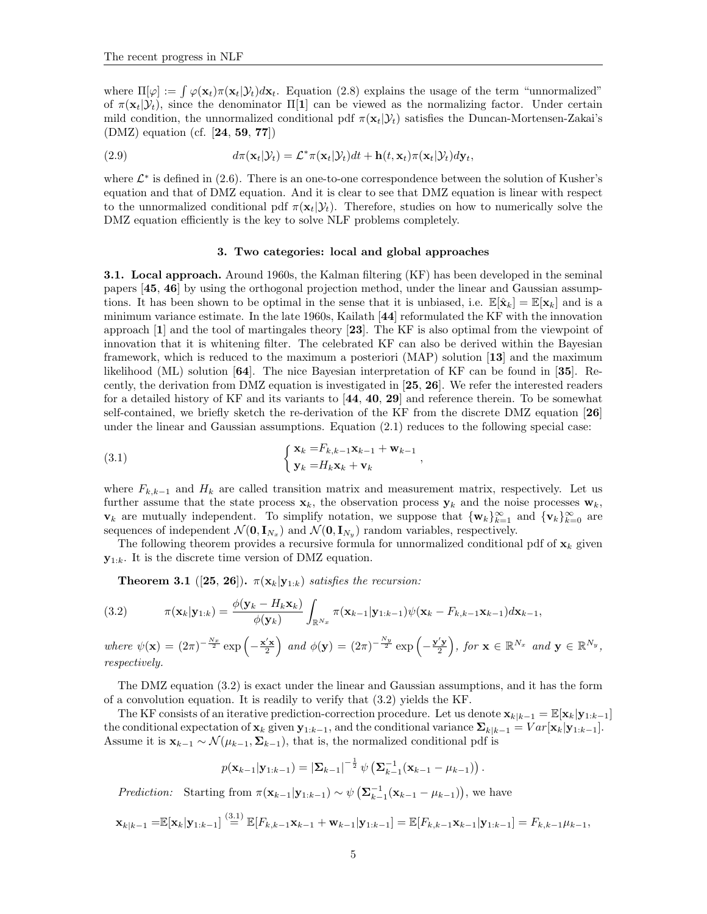where  $\Pi[\varphi] := \int \varphi(\mathbf{x}_t) \pi(\mathbf{x}_t | \mathcal{Y}_t) d\mathbf{x}_t$ . Equation (2.8) explains the usage of the term "unnormalized" of  $\pi(\mathbf{x}_t|\mathcal{Y}_t)$ , since the denominator  $\Pi[\mathbf{1}]$  can be viewed as the normalizing factor. Under certain mild condition, the unnormalized conditional pdf  $\pi(\mathbf{x}_t|\mathcal{Y}_t)$  satisfies the Duncan-Mortensen-Zakai's (DMZ) equation (cf. [24, 59, 77])

(2.9) 
$$
d\pi(\mathbf{x}_t|\mathcal{Y}_t) = \mathcal{L}^*\pi(\mathbf{x}_t|\mathcal{Y}_t)dt + \mathbf{h}(t,\mathbf{x}_t)\pi(\mathbf{x}_t|\mathcal{Y}_t) d\mathbf{y}_t,
$$

where  $\mathcal{L}^*$  is defined in (2.6). There is an one-to-one correspondence between the solution of Kusher's equation and that of DMZ equation. And it is clear to see that DMZ equation is linear with respect to the unnormalized conditional pdf  $\pi(\mathbf{x}_t|\mathcal{Y}_t)$ . Therefore, studies on how to numerically solve the DMZ equation efficiently is the key to solve NLF problems completely.

# 3. Two categories: local and global approaches

3.1. Local approach. Around 1960s, the Kalman filtering (KF) has been developed in the seminal papers [45, 46] by using the orthogonal projection method, under the linear and Gaussian assumptions. It has been shown to be optimal in the sense that it is unbiased, i.e.  $\mathbb{E}[\hat{\mathbf{x}}_k] = \mathbb{E}[\mathbf{x}_k]$  and is a minimum variance estimate. In the late 1960s, Kailath [44] reformulated the KF with the innovation approach [1] and the tool of martingales theory [23]. The KF is also optimal from the viewpoint of innovation that it is whitening filter. The celebrated KF can also be derived within the Bayesian framework, which is reduced to the maximum a posteriori (MAP) solution [13] and the maximum likelihood (ML) solution [64]. The nice Bayesian interpretation of KF can be found in [35]. Recently, the derivation from DMZ equation is investigated in [25, 26]. We refer the interested readers for a detailed history of KF and its variants to  $[44, 40, 29]$  and reference therein. To be somewhat self-contained, we briefly sketch the re-derivation of the KF from the discrete DMZ equation [26] under the linear and Gaussian assumptions. Equation (2.1) reduces to the following special case:

(3.1) 
$$
\begin{cases} \mathbf{x}_k = F_{k,k-1}\mathbf{x}_{k-1} + \mathbf{w}_{k-1} \\ \mathbf{y}_k = H_k\mathbf{x}_k + \mathbf{v}_k \end{cases}
$$

where  $F_{k,k-1}$  and  $H_k$  are called transition matrix and measurement matrix, respectively. Let us further assume that the state process  $\mathbf{x}_k$ , the observation process  $\mathbf{y}_k$  and the noise processes  $\mathbf{w}_k$ ,  $\mathbf{v}_k$  are mutually independent. To simplify notation, we suppose that  ${\mathbf{w}_k}_{k=1}^\infty$  and  ${\mathbf{v}_k}_{k=0}^\infty$  are sequences of independent  $\mathcal{N}(\mathbf{0}, \mathbf{I}_{N_x})$  and  $\mathcal{N}(\mathbf{0}, \mathbf{I}_{N_y})$  random variables, respectively.

,

The following theorem provides a recursive formula for unnormalized conditional pdf of  $\mathbf{x}_k$  given  $\mathbf{y}_{1:k}$ . It is the discrete time version of DMZ equation.

**Theorem 3.1** ([25, 26]).  $\pi(\mathbf{x}_k|\mathbf{y}_{1:k})$  satisfies the recursion:

(3.2) 
$$
\pi(\mathbf{x}_k|\mathbf{y}_{1:k}) = \frac{\phi(\mathbf{y}_k - H_k \mathbf{x}_k)}{\phi(\mathbf{y}_k)} \int_{\mathbb{R}^{N_x}} \pi(\mathbf{x}_{k-1}|\mathbf{y}_{1:k-1}) \psi(\mathbf{x}_k - F_{k,k-1} \mathbf{x}_{k-1}) d\mathbf{x}_{k-1},
$$

where  $\psi(\mathbf{x}) = (2\pi)^{-\frac{N_x}{2}} \exp\left(-\frac{\mathbf{x}'\mathbf{x}}{2}\right)$  and  $\phi(\mathbf{y}) = (2\pi)^{-\frac{N_y}{2}} \exp\left(-\frac{\mathbf{y}'\mathbf{y}}{2}\right)$ , for  $\mathbf{x} \in \mathbb{R}^{N_x}$  and  $\mathbf{y} \in \mathbb{R}^{N_y}$ , respectively.

The DMZ equation (3.2) is exact under the linear and Gaussian assumptions, and it has the form of a convolution equation. It is readily to verify that (3.2) yields the KF.

The KF consists of an iterative prediction-correction procedure. Let us denote  $\mathbf{x}_{k|k-1} = \mathbb{E}[\mathbf{x}_k|\mathbf{y}_{1:k-1}]$ the conditional expectation of  $\mathbf{x}_k$  given  $\mathbf{y}_{1:k-1}$ , and the conditional variance  $\sum_{k|k-1} = Var[\mathbf{x}_k|\mathbf{y}_{1:k-1}]$ . Assume it is  $\mathbf{x}_{k-1} \sim \mathcal{N}(\mu_{k-1}, \Sigma_{k-1})$ , that is, the normalized conditional pdf is

$$
p(\mathbf{x}_{k-1}|\mathbf{y}_{1:k-1}) = |\mathbf{\Sigma}_{k-1}|^{-\frac{1}{2}} \psi\left(\mathbf{\Sigma}_{k-1}^{-1}(\mathbf{x}_{k-1} - \mu_{k-1})\right).
$$

*Prediction:* Starting from  $\pi(\mathbf{x}_{k-1}|\mathbf{y}_{1:k-1}) \sim \psi\left(\mathbf{\Sigma}_{k-1}^{-1}(\mathbf{x}_{k-1} - \mu_{k-1})\right)$ , we have

$$
\mathbf{x}_{k|k-1} = \mathbb{E}[\mathbf{x}_k|\mathbf{y}_{1:k-1}] \stackrel{(3.1)}{=} \mathbb{E}[F_{k,k-1}\mathbf{x}_{k-1} + \mathbf{w}_{k-1}|\mathbf{y}_{1:k-1}] = \mathbb{E}[F_{k,k-1}\mathbf{x}_{k-1}|\mathbf{y}_{1:k-1}] = F_{k,k-1}\mu_{k-1},
$$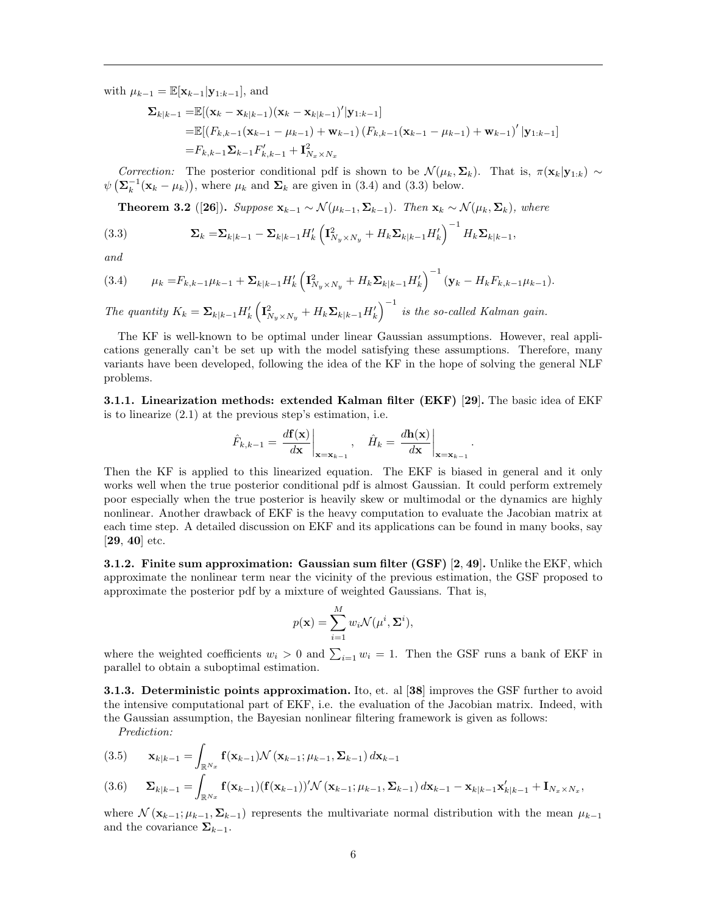with  $\mu_{k-1} = \mathbb{E}[\mathbf{x}_{k-1}|\mathbf{y}_{1:k-1}],$  and

$$
\Sigma_{k|k-1} = \mathbb{E}[(\mathbf{x}_k - \mathbf{x}_{k|k-1})(\mathbf{x}_k - \mathbf{x}_{k|k-1})' | \mathbf{y}_{1:k-1}]
$$
  
\n
$$
= \mathbb{E}[(F_{k,k-1}(\mathbf{x}_{k-1} - \mu_{k-1}) + \mathbf{w}_{k-1})(F_{k,k-1}(\mathbf{x}_{k-1} - \mu_{k-1}) + \mathbf{w}_{k-1})' | \mathbf{y}_{1:k-1}]
$$
  
\n
$$
= F_{k,k-1} \Sigma_{k-1} F'_{k,k-1} + \mathbf{I}_{N_x \times N_x}^2
$$

Correction: The posterior conditional pdf is shown to be  $\mathcal{N}(\mu_k, \Sigma_k)$ . That is,  $\pi(\mathbf{x}_k|\mathbf{y}_{1:k}) \sim$  $\psi\left(\sum_{k=1}^{n}(\mathbf{x}_{k}-\mu_{k})\right)$ , where  $\mu_{k}$  and  $\Sigma_{k}$  are given in (3.4) and (3.3) below.

Theorem 3.2 ([26]). Suppose  $\mathbf{x}_{k-1} \sim \mathcal{N}(\mu_{k-1}, \Sigma_{k-1})$ . Then  $\mathbf{x}_k \sim \mathcal{N}(\mu_k, \Sigma_k)$ , where

(3.3) 
$$
\mathbf{\Sigma}_{k} = \mathbf{\Sigma}_{k|k-1} - \mathbf{\Sigma}_{k|k-1} H'_{k} \left( \mathbf{I}_{N_{y} \times N_{y}}^{2} + H_{k} \mathbf{\Sigma}_{k|k-1} H'_{k} \right)^{-1} H_{k} \mathbf{\Sigma}_{k|k-1},
$$

and

$$
(3.4) \qquad \mu_k = F_{k,k-1}\mu_{k-1} + \Sigma_{k|k-1}H'_k \left(\mathbf{I}_{N_y \times N_y}^2 + H_k \Sigma_{k|k-1}H'_k\right)^{-1} \left(\mathbf{y}_k - H_k F_{k,k-1} \mu_{k-1}\right).
$$

The quantity  $K_k = \sum_{k|k-1} H'_k \left( \mathbf{I}_{N_y \times N_y}^2 + H_k \mathbf{\Sigma}_{k|k-1} H'_k \right)^{-1}$  is the so-called Kalman gain.

The KF is well-known to be optimal under linear Gaussian assumptions. However, real applications generally can't be set up with the model satisfying these assumptions. Therefore, many variants have been developed, following the idea of the KF in the hope of solving the general NLF problems.

3.1.1. Linearization methods: extended Kalman filter (EKF) [29]. The basic idea of EKF is to linearize (2.1) at the previous step's estimation, i.e.

$$
\hat{F}_{k,k-1} = \left. \frac{d\mathbf{f}(\mathbf{x})}{d\mathbf{x}} \right|_{\mathbf{x} = \mathbf{x}_{k-1}}, \quad \hat{H}_k = \left. \frac{d\mathbf{h}(\mathbf{x})}{d\mathbf{x}} \right|_{\mathbf{x} = \mathbf{x}_{k-1}}.
$$

Then the KF is applied to this linearized equation. The EKF is biased in general and it only works well when the true posterior conditional pdf is almost Gaussian. It could perform extremely poor especially when the true posterior is heavily skew or multimodal or the dynamics are highly nonlinear. Another drawback of EKF is the heavy computation to evaluate the Jacobian matrix at each time step. A detailed discussion on EKF and its applications can be found in many books, say [29, 40] etc.

3.1.2. Finite sum approximation: Gaussian sum filter (GSF) [2, 49]. Unlike the EKF, which approximate the nonlinear term near the vicinity of the previous estimation, the GSF proposed to approximate the posterior pdf by a mixture of weighted Gaussians. That is,

$$
p(\mathbf{x}) = \sum_{i=1}^{M} w_i \mathcal{N}(\mu^i, \Sigma^i),
$$

where the weighted coefficients  $w_i > 0$  and  $\sum_{i=1} w_i = 1$ . Then the GSF runs a bank of EKF in parallel to obtain a suboptimal estimation.

3.1.3. Deterministic points approximation. Ito, et. al [38] improves the GSF further to avoid the intensive computational part of EKF, i.e. the evaluation of the Jacobian matrix. Indeed, with the Gaussian assumption, the Bayesian nonlinear filtering framework is given as follows:

Prediction:

(3.5) 
$$
\mathbf{x}_{k|k-1} = \int_{\mathbb{R}^{N_x}} \mathbf{f}(\mathbf{x}_{k-1}) \mathcal{N}(\mathbf{x}_{k-1}; \mu_{k-1}, \Sigma_{k-1}) d\mathbf{x}_{k-1}
$$
  
(3.6) 
$$
\Sigma_{k|k-1} = \int_{\mathbb{R}^{N_x}} \mathbf{f}(\mathbf{x}_{k-1}) (\mathbf{f}(\mathbf{x}_{k-1}))' \mathcal{N}(\mathbf{x}_{k-1}; \mu_{k-1}, \Sigma_{k-1}) d\mathbf{x}_{k-1} - \mathbf{x}_{k|k-1} \mathbf{x}'_{k|k-1} + \mathbf{I}_{N_x \times N_x},
$$

where  $\mathcal{N}$  ( $\mathbf{x}_{k-1}; \mu_{k-1}, \Sigma_{k-1}$ ) represents the multivariate normal distribution with the mean  $\mu_{k-1}$ and the covariance  $\Sigma_{k-1}$ .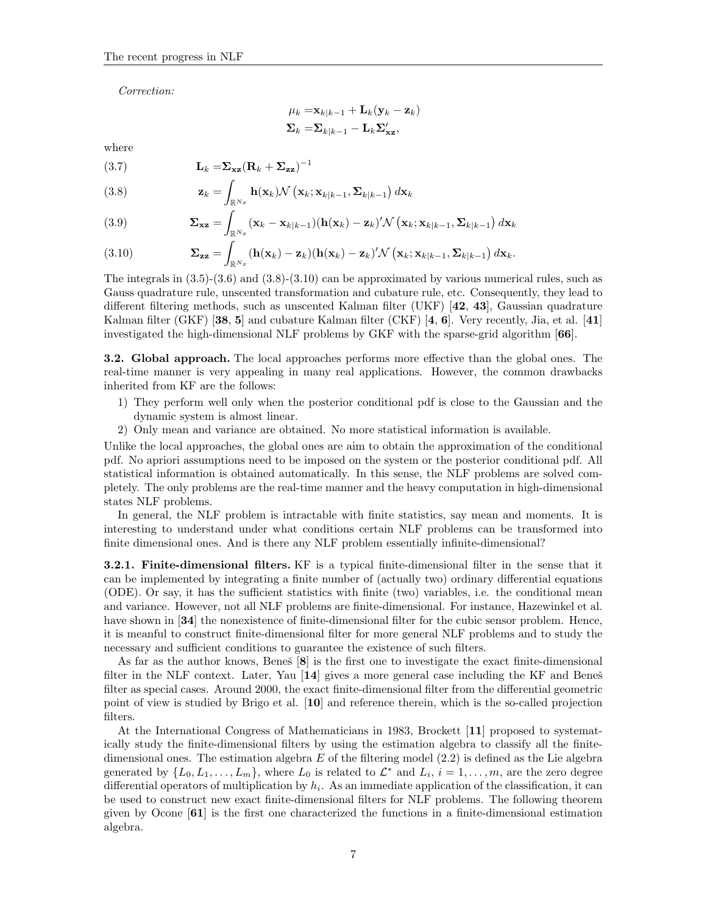Correction:

$$
\mu_k = \mathbf{x}_{k|k-1} + \mathbf{L}_k(\mathbf{y}_k - \mathbf{z}_k)
$$
  

$$
\mathbf{\Sigma}_k = \mathbf{\Sigma}_{k|k-1} - \mathbf{L}_k \mathbf{\Sigma}'_{\mathbf{x}\mathbf{z}},
$$

where

$$
(3.7) \t\t\t \mathbf{L}_k = \mathbf{\Sigma}_{\mathbf{xz}} (\mathbf{R}_k + \mathbf{\Sigma}_{\mathbf{zz}})^{-1}
$$

(3.8) 
$$
\mathbf{z}_k = \int_{\mathbb{R}^{N_x}} \mathbf{h}(\mathbf{x}_k) \mathcal{N}\left(\mathbf{x}_k; \mathbf{x}_{k|k-1}, \mathbf{\Sigma}_{k|k-1}\right) d\mathbf{x}_k
$$

(3.9) 
$$
\mathbf{\Sigma}_{\mathbf{x}\mathbf{z}} = \int_{\mathbb{R}^{N_x}} (\mathbf{x}_k - \mathbf{x}_{k|k-1}) (\mathbf{h}(\mathbf{x}_k) - \mathbf{z}_k)' \mathcal{N} (\mathbf{x}_k; \mathbf{x}_{k|k-1}, \mathbf{\Sigma}_{k|k-1}) d\mathbf{x}_k
$$

(3.10) 
$$
\mathbf{\Sigma_{zz}} = \int_{\mathbb{R}^{N_x}} (\mathbf{h}(\mathbf{x}_k) - \mathbf{z}_k)(\mathbf{h}(\mathbf{x}_k) - \mathbf{z}_k)' \mathcal{N}\left(\mathbf{x}_k; \mathbf{x}_{k|k-1}, \mathbf{\Sigma}_{k|k-1}\right) d\mathbf{x}_k.
$$

The integrals in  $(3.5)-(3.6)$  and  $(3.8)-(3.10)$  can be approximated by various numerical rules, such as Gauss quadrature rule, unscented transformation and cubature rule, etc. Consequently, they lead to different filtering methods, such as unscented Kalman filter (UKF) [42, 43], Gaussian quadrature Kalman filter (GKF) [38, 5] and cubature Kalman filter (CKF) [4, 6]. Very recently, Jia, et al. [41] investigated the high-dimensional NLF problems by GKF with the sparse-grid algorithm [66].

3.2. Global approach. The local approaches performs more effective than the global ones. The real-time manner is very appealing in many real applications. However, the common drawbacks inherited from KF are the follows:

- 1) They perform well only when the posterior conditional pdf is close to the Gaussian and the dynamic system is almost linear.
- 2) Only mean and variance are obtained. No more statistical information is available.

Unlike the local approaches, the global ones are aim to obtain the approximation of the conditional pdf. No apriori assumptions need to be imposed on the system or the posterior conditional pdf. All statistical information is obtained automatically. In this sense, the NLF problems are solved completely. The only problems are the real-time manner and the heavy computation in high-dimensional states NLF problems.

In general, the NLF problem is intractable with finite statistics, say mean and moments. It is interesting to understand under what conditions certain NLF problems can be transformed into finite dimensional ones. And is there any NLF problem essentially infinite-dimensional?

3.2.1. Finite-dimensional filters. KF is a typical finite-dimensional filter in the sense that it can be implemented by integrating a finite number of (actually two) ordinary differential equations (ODE). Or say, it has the sufficient statistics with finite (two) variables, i.e. the conditional mean and variance. However, not all NLF problems are finite-dimensional. For instance, Hazewinkel et al. have shown in [34] the nonexistence of finite-dimensional filter for the cubic sensor problem. Hence, it is meanful to construct finite-dimensional filter for more general NLF problems and to study the necessary and sufficient conditions to guarantee the existence of such filters.

As far as the author knows, Beneš  $[8]$  is the first one to investigate the exact finite-dimensional filter in the NLF context. Later, Yau  $\vert 14 \vert$  gives a more general case including the KF and Benes̃ filter as special cases. Around 2000, the exact finite-dimensional filter from the differential geometric point of view is studied by Brigo et al. [10] and reference therein, which is the so-called projection filters.

At the International Congress of Mathematicians in 1983, Brockett [11] proposed to systematically study the finite-dimensional filters by using the estimation algebra to classify all the finitedimensional ones. The estimation algebra E of the filtering model  $(2.2)$  is defined as the Lie algebra generated by  $\{L_0, L_1, \ldots, L_m\}$ , where  $L_0$  is related to  $\mathcal{L}^*$  and  $L_i$ ,  $i = 1, \ldots, m$ , are the zero degree differential operators of multiplication by  $h_i$ . As an immediate application of the classification, it can be used to construct new exact finite-dimensional filters for NLF problems. The following theorem given by Ocone [61] is the first one characterized the functions in a finite-dimensional estimation algebra.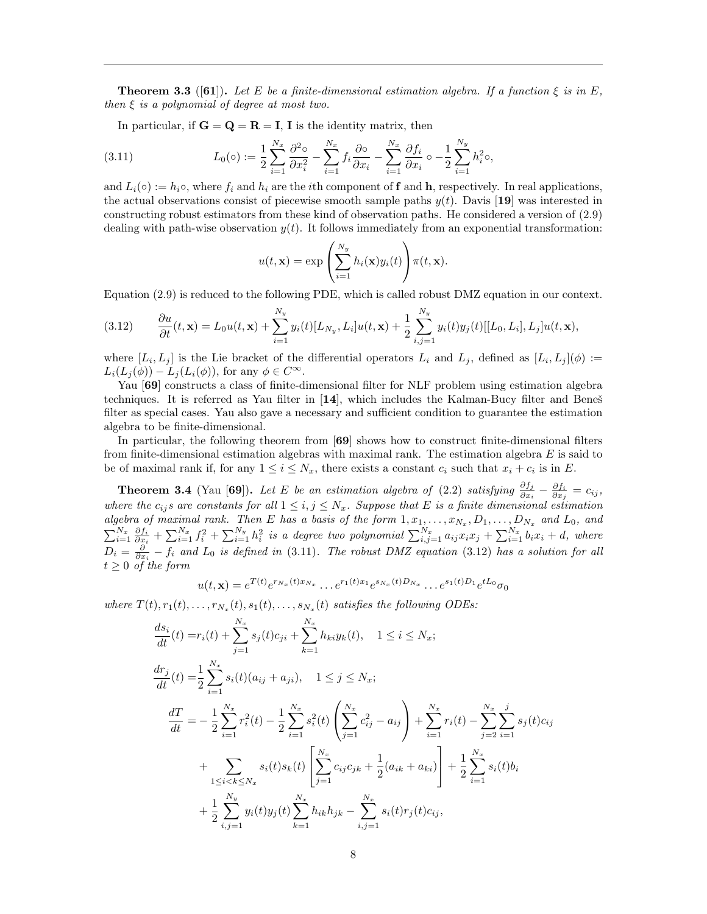**Theorem 3.3** ([61]). Let E be a finite-dimensional estimation algebra. If a function  $\xi$  is in E, then  $\xi$  is a polynomial of degree at most two.

In particular, if  $G = Q = R = I$ , I is the identity matrix, then

(3.11) 
$$
L_0(\circ) := \frac{1}{2} \sum_{i=1}^{N_x} \frac{\partial^2 \circ}{\partial x_i^2} - \sum_{i=1}^{N_x} f_i \frac{\partial \circ}{\partial x_i} - \sum_{i=1}^{N_x} \frac{\partial f_i}{\partial x_i} \circ - \frac{1}{2} \sum_{i=1}^{N_y} h_i^2 \circ,
$$

and  $L_i(\circ) := h_i \circ$ , where  $f_i$  and  $h_i$  are the *i*th component of **f** and **h**, respectively. In real applications, the actual observations consist of piecewise smooth sample paths  $y(t)$ . Davis [19] was interested in constructing robust estimators from these kind of observation paths. He considered a version of (2.9) dealing with path-wise observation  $y(t)$ . It follows immediately from an exponential transformation:

$$
u(t, \mathbf{x}) = \exp\left(\sum_{i=1}^{N_y} h_i(\mathbf{x}) y_i(t)\right) \pi(t, \mathbf{x}).
$$

Equation (2.9) is reduced to the following PDE, which is called robust DMZ equation in our context.

(3.12) 
$$
\frac{\partial u}{\partial t}(t, \mathbf{x}) = L_0 u(t, \mathbf{x}) + \sum_{i=1}^{N_y} y_i(t) [L_{N_y}, L_i] u(t, \mathbf{x}) + \frac{1}{2} \sum_{i,j=1}^{N_y} y_i(t) y_j(t) [[L_0, L_i], L_j] u(t, \mathbf{x}),
$$

where  $[L_i, L_j]$  is the Lie bracket of the differential operators  $L_i$  and  $L_j$ , defined as  $[L_i, L_j](\phi) :=$  $L_i(L_i(\phi)) - L_i(L_i(\phi))$ , for any  $\phi \in C^{\infty}$ .

Yau [69] constructs a class of finite-dimensional filter for NLF problem using estimation algebra techniques. It is referred as Yau filter in  $[14]$ , which includes the Kalman-Bucy filter and Benes<sup>s</sup> filter as special cases. Yau also gave a necessary and sufficient condition to guarantee the estimation algebra to be finite-dimensional.

In particular, the following theorem from [69] shows how to construct finite-dimensional filters from finite-dimensional estimation algebras with maximal rank. The estimation algebra  $E$  is said to be of maximal rank if, for any  $1 \le i \le N_x$ , there exists a constant  $c_i$  such that  $x_i + c_i$  is in E.

**Theorem 3.4** (Yau [69]). Let E be an estimation algebra of (2.2) satisfying  $\frac{\partial f_j}{\partial x_i} - \frac{\partial f_i}{\partial x_j} = c_{ij}$ , where the  $c_{ij}s$  are constants for all  $1 \leq i, j \leq N_x$ . Suppose that E is a finite dimensional estimation algebra of maximal rank. Then E has a basis of the form  $1, x_1, \ldots, x_{N_x}, D_1, \ldots, D_{N_x}$  and  $L_0$ , and  $\sum_{i=1}^{N_x} \frac{\partial f_i}{\partial x_i} + \sum_{i=1}^{N_x} f_i^2 + \sum_{i=1}^{N_y} h_i^2$  is a degree two polynomial  $\sum_{i,j=1}^{N_x} a_{ij}x_ix_j + \sum_{i=1}^{N_x} b_ix_i + d$ , where  $D_i = \frac{\partial}{\partial x_i} - f_i$  and  $L_0$  is defined in (3.11). The robust DMZ equation (3.12) has a solution for all  $t \geq 0$  of the form

$$
u(t, \mathbf{x}) = e^{T(t)} e^{r_{N_x}(t)x_{N_x}} \dots e^{r_1(t)x_1} e^{s_{N_x}(t)D_{N_x}} \dots e^{s_1(t)D_1} e^{tL_0} \sigma_0
$$

where  $T(t), r_1(t), \ldots, r_{N_x}(t), s_1(t), \ldots, s_{N_x}(t)$  satisfies the following ODEs:

$$
\frac{ds_i}{dt}(t) = r_i(t) + \sum_{j=1}^{N_x} s_j(t)c_{ji} + \sum_{k=1}^{N_x} h_{ki}y_k(t), \quad 1 \le i \le N_x; \n\frac{dr_j}{dt}(t) = \frac{1}{2} \sum_{i=1}^{N_x} s_i(t)(a_{ij} + a_{ji}), \quad 1 \le j \le N_x; \n\frac{dT}{dt} = -\frac{1}{2} \sum_{i=1}^{N_x} r_i^2(t) - \frac{1}{2} \sum_{i=1}^{N_x} s_i^2(t) \left( \sum_{j=1}^{N_x} c_{ij}^2 - a_{ij} \right) + \sum_{i=1}^{N_x} r_i(t) - \sum_{j=2}^{N_x} \sum_{i=1}^{j} s_j(t)c_{ij} \n+ \sum_{1 \le i < k \le N_x} s_i(t)s_k(t) \left[ \sum_{j=1}^{N_x} c_{ij}c_{jk} + \frac{1}{2} (a_{ik} + a_{ki}) \right] + \frac{1}{2} \sum_{i=1}^{N_x} s_i(t)b_i \n+ \frac{1}{2} \sum_{i,j=1}^{N_y} y_i(t)y_j(t) \sum_{k=1}^{N_x} h_{ik}h_{jk} - \sum_{i,j=1}^{N_x} s_i(t)r_j(t)c_{ij},
$$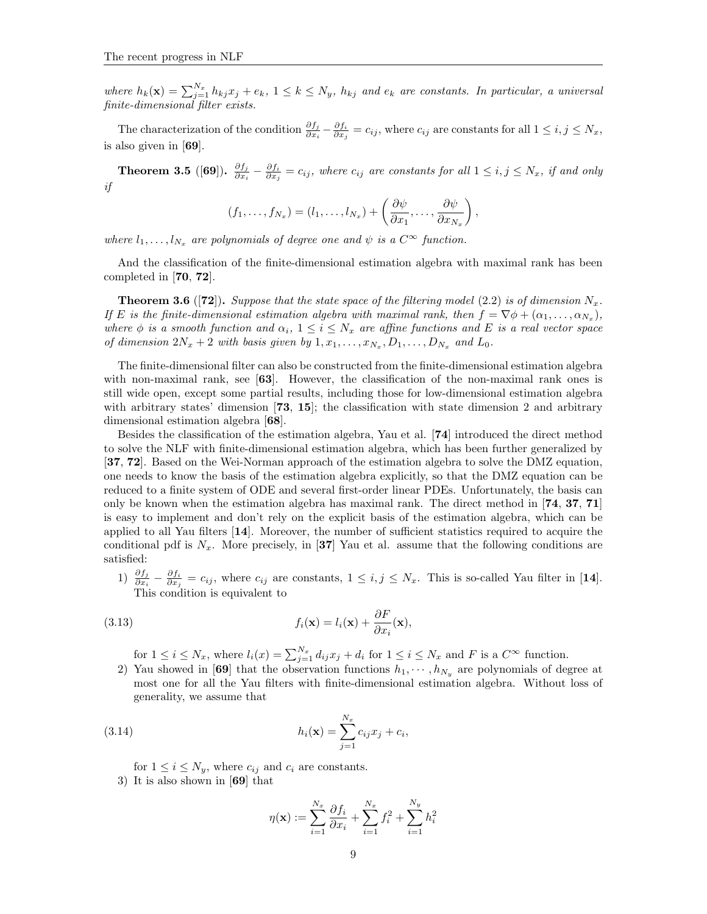where  $h_k(\mathbf{x}) = \sum_{j=1}^{N_x} h_{kj} x_j + e_k$ ,  $1 \leq k \leq N_y$ ,  $h_{kj}$  and  $e_k$  are constants. In particular, a universal finite-dimensional filter exists.

The characterization of the condition  $\frac{\partial f_j}{\partial x_i} - \frac{\partial f_i}{\partial x_j} = c_{ij}$ , where  $c_{ij}$  are constants for all  $1 \le i, j \le N_x$ , is also given in [69].

Theorem 3.5 ([69]).  $\frac{\partial f_j}{\partial x_i}$  $\frac{\partial f_j}{\partial x_i}-\frac{\partial f_i}{\partial x_j}=c_{ij},$  where  $c_{ij}$  are constants for all  $1\leq i,j\leq N_x,$  if and only if

$$
(f_1,\ldots,f_{N_x})=(l_1,\ldots,l_{N_x})+\left(\frac{\partial\psi}{\partial x_1},\ldots,\frac{\partial\psi}{\partial x_{N_x}}\right),
$$

where  $l_1, \ldots, l_{N_x}$  are polynomials of degree one and  $\psi$  is a  $C^{\infty}$  function.

And the classification of the finite-dimensional estimation algebra with maximal rank has been completed in [70, 72].

**Theorem 3.6** ([72]). Suppose that the state space of the filtering model (2.2) is of dimension  $N_x$ . If E is the finite-dimensional estimation algebra with maximal rank, then  $f = \nabla \phi + (\alpha_1, \dots, \alpha_{N_x}),$ where  $\phi$  is a smooth function and  $\alpha_i$ ,  $1 \leq i \leq N_x$  are affine functions and E is a real vector space of dimension  $2N_x + 2$  with basis given by  $1, x_1, \ldots, x_{N_x}, D_1, \ldots, D_{N_x}$  and  $L_0$ .

The finite-dimensional filter can also be constructed from the finite-dimensional estimation algebra with non-maximal rank, see [63]. However, the classification of the non-maximal rank ones is still wide open, except some partial results, including those for low-dimensional estimation algebra with arbitrary states' dimension [73, 15]; the classification with state dimension 2 and arbitrary dimensional estimation algebra [68].

Besides the classification of the estimation algebra, Yau et al. [74] introduced the direct method to solve the NLF with finite-dimensional estimation algebra, which has been further generalized by [37, 72]. Based on the Wei-Norman approach of the estimation algebra to solve the DMZ equation, one needs to know the basis of the estimation algebra explicitly, so that the DMZ equation can be reduced to a finite system of ODE and several first-order linear PDEs. Unfortunately, the basis can only be known when the estimation algebra has maximal rank. The direct method in [74, 37, 71] is easy to implement and don't rely on the explicit basis of the estimation algebra, which can be applied to all Yau filters [14]. Moreover, the number of sufficient statistics required to acquire the conditional pdf is  $N_x$ . More precisely, in [37] Yau et al. assume that the following conditions are satisfied:

1)  $\frac{\partial f_j}{\partial x_i} - \frac{\partial f_i}{\partial x_j} = c_{ij}$ , where  $c_{ij}$  are constants,  $1 \leq i, j \leq N_x$ . This is so-called Yau filter in [14]. This condition is equivalent to

(3.13) 
$$
f_i(\mathbf{x}) = l_i(\mathbf{x}) + \frac{\partial F}{\partial x_i}(\mathbf{x}),
$$

for  $1 \leq i \leq N_x$ , where  $l_i(x) = \sum_{j=1}^{N_x} d_{ij} x_j + d_i$  for  $1 \leq i \leq N_x$  and F is a  $C^{\infty}$  function.

2) Yau showed in [69] that the observation functions  $h_1, \dots, h_{N_y}$  are polynomials of degree at most one for all the Yau filters with finite-dimensional estimation algebra. Without loss of generality, we assume that

(3.14) 
$$
h_i(\mathbf{x}) = \sum_{j=1}^{N_x} c_{ij} x_j + c_i,
$$

for  $1 \leq i \leq N_y$ , where  $c_{ij}$  and  $c_i$  are constants.

3) It is also shown in [69] that

$$
\eta(\mathbf{x}) := \sum_{i=1}^{N_x} \frac{\partial f_i}{\partial x_i} + \sum_{i=1}^{N_x} f_i^2 + \sum_{i=1}^{N_y} h_i^2
$$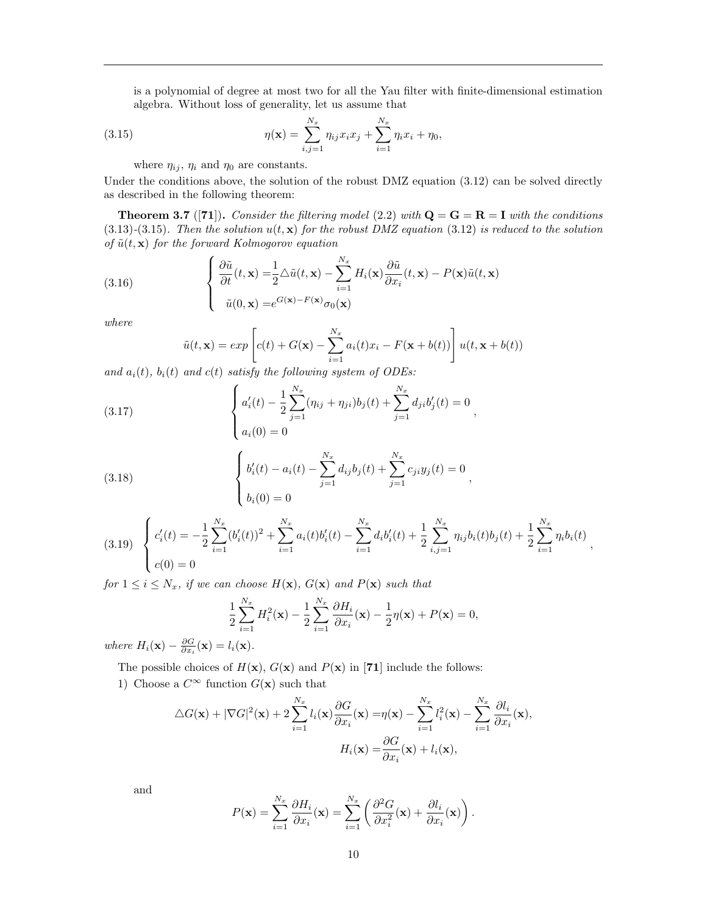is a polynomial of degree at most two for all the Yau filter with finite-dimensional estimation algebra. Without loss of generality, let us assume that

(3.15) 
$$
\eta(\mathbf{x}) = \sum_{i,j=1}^{N_x} \eta_{ij} x_i x_j + \sum_{i=1}^{N_x} \eta_i x_i + \eta_0,
$$

where  $\eta_{ij}$ ,  $\eta_i$  and  $\eta_0$  are constants.

Under the conditions above, the solution of the robust DMZ equation (3.12) can be solved directly as described in the following theorem:

**Theorem 3.7** ([71]). Consider the filtering model (2.2) with  $Q = G = R = I$  with the conditions  $(3.13)-(3.15)$ . Then the solution  $u(t, x)$  for the robust DMZ equation  $(3.12)$  is reduced to the solution of  $\tilde{u}(t, x)$  for the forward Kolmogorov equation

(3.16) 
$$
\begin{cases} \frac{\partial \tilde{u}}{\partial t}(t, \mathbf{x}) = \frac{1}{2} \Delta \tilde{u}(t, \mathbf{x}) - \sum_{i=1}^{N_x} H_i(\mathbf{x}) \frac{\partial \tilde{u}}{\partial x_i}(t, \mathbf{x}) - P(\mathbf{x}) \tilde{u}(t, \mathbf{x}) \\ \tilde{u}(0, \mathbf{x}) = e^{G(\mathbf{x}) - F(\mathbf{x})} \sigma_0(\mathbf{x}) \end{cases}
$$

where

$$
\tilde{u}(t, \mathbf{x}) = exp\left[c(t) + G(\mathbf{x}) - \sum_{i=1}^{N_x} a_i(t)x_i - F(\mathbf{x} + b(t))\right]u(t, \mathbf{x} + b(t))
$$

and  $a_i(t)$ ,  $b_i(t)$  and  $c(t)$  satisfy the following system of ODEs:

(3.17) 
$$
\begin{cases} a'_i(t) - \frac{1}{2} \sum_{j=1}^{N_x} (\eta_{ij} + \eta_{ji}) b_j(t) + \sum_{j=1}^{N_x} d_{ji} b'_j(t) = 0 \\ a_i(0) = 0 \end{cases}
$$

(3.18) 
$$
\begin{cases} b_i'(t) - a_i(t) - \sum_{j=1}^{N_x} d_{ij}b_j(t) + \sum_{j=1}^{N_x} c_{ji}y_j(t) = 0\\ b_i(0) = 0 \end{cases}
$$

$$
(3.19) \begin{cases} c_i'(t) = -\frac{1}{2} \sum_{i=1}^{N_x} (b_i'(t))^2 + \sum_{i=1}^{N_x} a_i(t) b_i'(t) - \sum_{i=1}^{N_x} d_i b_i'(t) + \frac{1}{2} \sum_{i,j=1}^{N_x} \eta_{ij} b_i(t) b_j(t) + \frac{1}{2} \sum_{i=1}^{N_x} \eta_i b_i(t) \\ c(0) = 0 \end{cases}
$$

,

for  $1 \leq i \leq N_x$ , if we can choose  $H(\mathbf{x})$ ,  $G(\mathbf{x})$  and  $P(\mathbf{x})$  such that

$$
\frac{1}{2}\sum_{i=1}^{N_x}H_i^2(\mathbf{x})-\frac{1}{2}\sum_{i=1}^{N_x}\frac{\partial H_i}{\partial x_i}(\mathbf{x})-\frac{1}{2}\eta(\mathbf{x})+P(\mathbf{x})=0,
$$

where  $H_i(\mathbf{x}) - \frac{\partial G}{\partial x_i}(\mathbf{x}) = l_i(\mathbf{x})$ .

The possible choices of  $H(\mathbf{x})$ ,  $G(\mathbf{x})$  and  $P(\mathbf{x})$  in [71] include the follows:

1) Choose a  $C^{\infty}$  function  $G(\mathbf{x})$  such that

$$
\Delta G(\mathbf{x}) + |\nabla G|^2(\mathbf{x}) + 2\sum_{i=1}^{N_x} l_i(\mathbf{x}) \frac{\partial G}{\partial x_i}(\mathbf{x}) = \eta(\mathbf{x}) - \sum_{i=1}^{N_x} l_i^2(\mathbf{x}) - \sum_{i=1}^{N_x} \frac{\partial l_i}{\partial x_i}(\mathbf{x}),
$$

$$
H_i(\mathbf{x}) = \frac{\partial G}{\partial x_i}(\mathbf{x}) + l_i(\mathbf{x}),
$$

and

$$
P(\mathbf{x}) = \sum_{i=1}^{N_x} \frac{\partial H_i}{\partial x_i}(\mathbf{x}) = \sum_{i=1}^{N_x} \left( \frac{\partial^2 G}{\partial x_i^2}(\mathbf{x}) + \frac{\partial l_i}{\partial x_i}(\mathbf{x}) \right).
$$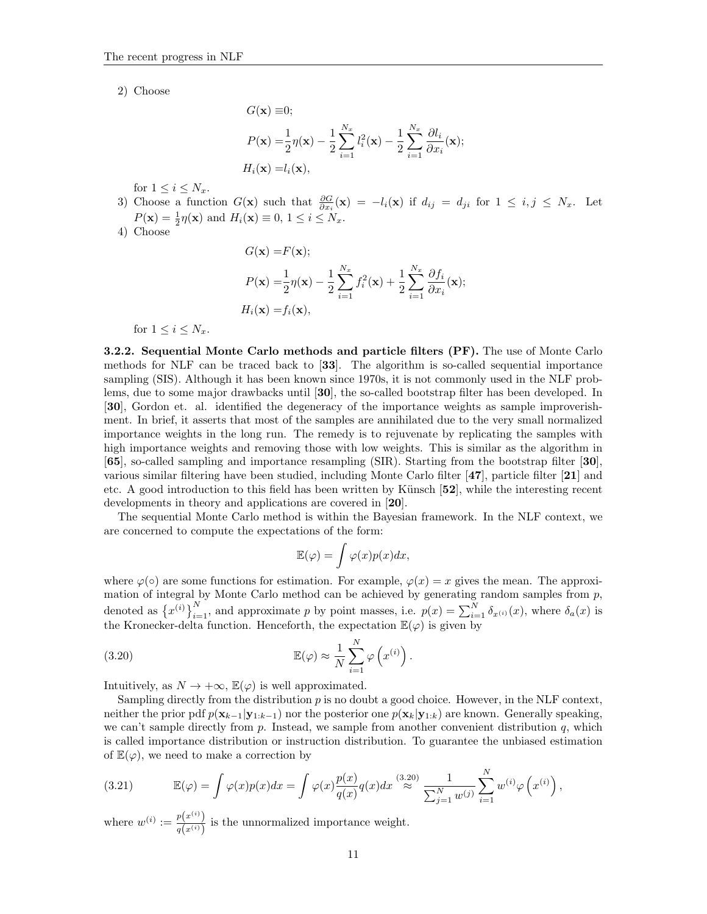2) Choose

$$
G(\mathbf{x}) \equiv 0;
$$
  
\n
$$
P(\mathbf{x}) = \frac{1}{2} \eta(\mathbf{x}) - \frac{1}{2} \sum_{i=1}^{N_x} l_i^2(\mathbf{x}) - \frac{1}{2} \sum_{i=1}^{N_x} \frac{\partial l_i}{\partial x_i}(\mathbf{x});
$$
  
\n
$$
H_i(\mathbf{x}) = l_i(\mathbf{x}),
$$

for  $1 \leq i \leq N_x$ .

- 3) Choose a function  $G(\mathbf{x})$  such that  $\frac{\partial G}{\partial x_i}(\mathbf{x}) = -l_i(\mathbf{x})$  if  $d_{ij} = d_{ji}$  for  $1 \le i, j \le N_x$ . Let  $P(\mathbf{x}) = \frac{1}{2}\eta(\mathbf{x})$  and  $H_i(\mathbf{x}) \equiv 0, 1 \le i \le N_x$ .
- 4) Choose

$$
G(\mathbf{x}) = F(\mathbf{x});
$$
  
\n
$$
P(\mathbf{x}) = \frac{1}{2} \eta(\mathbf{x}) - \frac{1}{2} \sum_{i=1}^{N_x} f_i^2(\mathbf{x}) + \frac{1}{2} \sum_{i=1}^{N_x} \frac{\partial f_i}{\partial x_i}(\mathbf{x});
$$
  
\n
$$
H_i(\mathbf{x}) = f_i(\mathbf{x}),
$$

for  $1 \leq i \leq N_r$ .

3.2.2. Sequential Monte Carlo methods and particle filters (PF). The use of Monte Carlo methods for NLF can be traced back to [33]. The algorithm is so-called sequential importance sampling (SIS). Although it has been known since 1970s, it is not commonly used in the NLF problems, due to some major drawbacks until [30], the so-called bootstrap filter has been developed. In [30], Gordon et. al. identified the degeneracy of the importance weights as sample improverishment. In brief, it asserts that most of the samples are annihilated due to the very small normalized importance weights in the long run. The remedy is to rejuvenate by replicating the samples with high importance weights and removing those with low weights. This is similar as the algorithm in [65], so-called sampling and importance resampling (SIR). Starting from the bootstrap filter [30], various similar filtering have been studied, including Monte Carlo filter [47], particle filter [21] and etc. A good introduction to this field has been written by Künsch [52], while the interesting recent developments in theory and applications are covered in [20].

The sequential Monte Carlo method is within the Bayesian framework. In the NLF context, we are concerned to compute the expectations of the form:

$$
\mathbb{E}(\varphi) = \int \varphi(x) p(x) dx,
$$

where  $\varphi(\circ)$  are some functions for estimation. For example,  $\varphi(x) = x$  gives the mean. The approximation of integral by Monte Carlo method can be achieved by generating random samples from p, denoted as  $\{x^{(i)}\}_{i=1}^N$ , and approximate p by point masses, i.e.  $p(x) = \sum_{i=1}^N \delta_{x^{(i)}}(x)$ , where  $\delta_a(x)$  is the Kronecker-delta function. Henceforth, the expectation  $\mathbb{E}(\varphi)$  is given by

.

(3.20) 
$$
\mathbb{E}(\varphi) \approx \frac{1}{N} \sum_{i=1}^{N} \varphi(x^{(i)})
$$

Intuitively, as  $N \to +\infty$ ,  $\mathbb{E}(\varphi)$  is well approximated.

Sampling directly from the distribution  $p$  is no doubt a good choice. However, in the NLF context, neither the prior pdf  $p(\mathbf{x}_{k-1}|\mathbf{y}_{1:k-1})$  nor the posterior one  $p(\mathbf{x}_k|\mathbf{y}_{1:k})$  are known. Generally speaking, we can't sample directly from  $p$ . Instead, we sample from another convenient distribution  $q$ , which is called importance distribution or instruction distribution. To guarantee the unbiased estimation of  $\mathbb{E}(\varphi)$ , we need to make a correction by

(3.21) 
$$
\mathbb{E}(\varphi) = \int \varphi(x) p(x) dx = \int \varphi(x) \frac{p(x)}{q(x)} q(x) dx \stackrel{(3.20)}{\approx} \frac{1}{\sum_{j=1}^{N} w^{(j)}} \sum_{i=1}^{N} w^{(i)} \varphi(x^{(i)}),
$$

where  $w^{(i)} := \frac{p(x^{(i)})}{f(x^{(i)})}$  $\frac{p(x)}{q(x^{(i)})}$  is the unnormalized importance weight.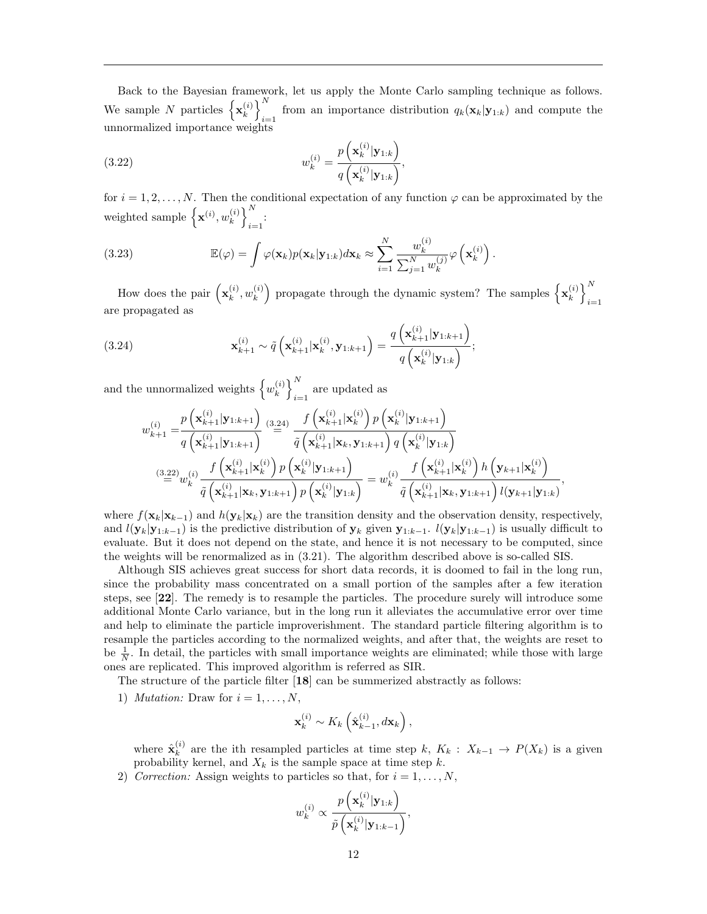Back to the Bayesian framework, let us apply the Monte Carlo sampling technique as follows. We sample N particles  $\left\{ \mathbf{x}_{k}^{(i)} \right\}$  $\binom{i}{k}$ from an importance distribution  $q_k(\mathbf{x}_k|\mathbf{y}_{1:k})$  and compute the unnormalized importance weights

(3.22) 
$$
w_k^{(i)} = \frac{p\left(\mathbf{x}_k^{(i)}|\mathbf{y}_{1:k}\right)}{q\left(\mathbf{x}_k^{(i)}|\mathbf{y}_{1:k}\right)},
$$

for  $i = 1, 2, \ldots, N$ . Then the conditional expectation of any function  $\varphi$  can be approximated by the weighted sample  $\left\{\mathbf{x}^{(i)}, w_k^{(i)}\right\}$  $\begin{pmatrix} i \\ k \end{pmatrix}$  $i=1$ 

(3.23) 
$$
\mathbb{E}(\varphi) = \int \varphi(\mathbf{x}_k) p(\mathbf{x}_k | \mathbf{y}_{1:k}) d\mathbf{x}_k \approx \sum_{i=1}^N \frac{w_k^{(i)}}{\sum_{j=1}^N w_k^{(j)}} \varphi(\mathbf{x}_k^{(i)}).
$$

How does the pair  $(\mathbf{x}_k^{(i)})$  $_k^{(i)}, w_k^{(i)}$  $\begin{pmatrix} i \\ k \end{pmatrix}$  propagate through the dynamic system? The samples  $\left\{ \mathbf{x}_{k}^{(i)} \right\}$  $\begin{pmatrix} i \\ k \end{pmatrix}$  $i=1$ are propagated as

(3.24) 
$$
\mathbf{x}_{k+1}^{(i)} \sim \tilde{q}\left(\mathbf{x}_{k+1}^{(i)}|\mathbf{x}_k^{(i)}, \mathbf{y}_{1:k+1}\right) = \frac{q\left(\mathbf{x}_{k+1}^{(i)}|\mathbf{y}_{1:k+1}\right)}{q\left(\mathbf{x}_k^{(i)}|\mathbf{y}_{1:k}\right)};
$$

and the unnormalized weights  $\left\{w_k^{(i)}\right\}$  $\binom{i}{k}$ are updated as  $i=1$ 

$$
w_{k+1}^{(i)} = \frac{p\left(\mathbf{x}_{k+1}^{(i)}|\mathbf{y}_{1:k+1}\right)}{q\left(\mathbf{x}_{k+1}^{(i)}|\mathbf{y}_{1:k+1}\right)} \stackrel{(3.24)}{=} \frac{f\left(\mathbf{x}_{k+1}^{(i)}|\mathbf{x}_{k}^{(i)}\right)p\left(\mathbf{x}_{k}^{(i)}|\mathbf{y}_{1:k+1}\right)}{q\left(\mathbf{x}_{k+1}^{(i)}|\mathbf{x}_{k},\mathbf{y}_{1:k+1}\right)q\left(\mathbf{x}_{k}^{(i)}|\mathbf{y}_{1:k}\right)}
$$
\n
$$
\stackrel{(3.22)}{=} w_{k}^{(i)} \frac{f\left(\mathbf{x}_{k+1}^{(i)}|\mathbf{x}_{k}^{(i)}\right)p\left(\mathbf{x}_{k}^{(i)}|\mathbf{y}_{1:k+1}\right)}{q\left(\mathbf{x}_{k}^{(i)}|\mathbf{y}_{1:k+1}\right)q\left(\mathbf{x}_{k}^{(i)}|\mathbf{y}_{1:k}\right)} = w_{k}^{(i)} \frac{f\left(\mathbf{x}_{k+1}^{(i)}|\mathbf{x}_{k}^{(i)}\right)h\left(\mathbf{y}_{k+1}|\mathbf{x}_{k}^{(i)}\right)}{q\left(\mathbf{x}_{k+1}^{(i)}|\mathbf{x}_{k},\mathbf{y}_{1:k+1}\right)q\left(\mathbf{x}_{k}^{(i)}|\mathbf{y}_{1:k}\right)} = w_{k}^{(i)} \frac{f\left(\mathbf{x}_{k+1}^{(i)}|\mathbf{x}_{k},\mathbf{y}_{1:k+1}\right)l\left(\mathbf{y}_{k+1}|\mathbf{y}_{1:k}\right)}{q\left(\mathbf{x}_{k+1}^{(i)}|\mathbf{x}_{k},\mathbf{y}_{1:k+1}\right)l\left(\mathbf{y}_{k+1}|\mathbf{y}_{1:k}\right)},
$$

where  $f(\mathbf{x}_k|\mathbf{x}_{k-1})$  and  $h(\mathbf{y}_k|\mathbf{x}_k)$  are the transition density and the observation density, respectively, and  $l(\mathbf{y}_k|\mathbf{y}_{1:k-1})$  is the predictive distribution of  $\mathbf{y}_k$  given  $\mathbf{y}_{1:k-1}$ .  $l(\mathbf{y}_k|\mathbf{y}_{1:k-1})$  is usually difficult to evaluate. But it does not depend on the state, and hence it is not necessary to be computed, since the weights will be renormalized as in (3.21). The algorithm described above is so-called SIS.

Although SIS achieves great success for short data records, it is doomed to fail in the long run, since the probability mass concentrated on a small portion of the samples after a few iteration steps, see [22]. The remedy is to resample the particles. The procedure surely will introduce some additional Monte Carlo variance, but in the long run it alleviates the accumulative error over time and help to eliminate the particle improverishment. The standard particle filtering algorithm is to resample the particles according to the normalized weights, and after that, the weights are reset to be  $\frac{1}{N}$ . In detail, the particles with small importance weights are eliminated; while those with large ones are replicated. This improved algorithm is referred as SIR.

The structure of the particle filter [18] can be summerized abstractly as follows:

1) *Mutation:* Draw for  $i = 1, \ldots, N$ ,

$$
\mathbf{x}_{k}^{(i)} \sim K_{k} \left(\hat{\mathbf{x}}_{k-1}^{(i)}, d\mathbf{x}_{k}\right),
$$

where  $\hat{\mathbf{x}}_k^{(i)}$  $\kappa_k^{(i)}$  are the ith resampled particles at time step k,  $K_k$  :  $X_{k-1} \to P(X_k)$  is a given probability kernel, and  $X_k$  is the sample space at time step k.

2) Correction: Assign weights to particles so that, for  $i = 1, \ldots, N$ ,

$$
w_k^{(i)} \propto \frac{p\left(\mathbf{x}_k^{(i)}|\mathbf{y}_{1:k}\right)}{\tilde{p}\left(\mathbf{x}_k^{(i)}|\mathbf{y}_{1:k-1}\right)},
$$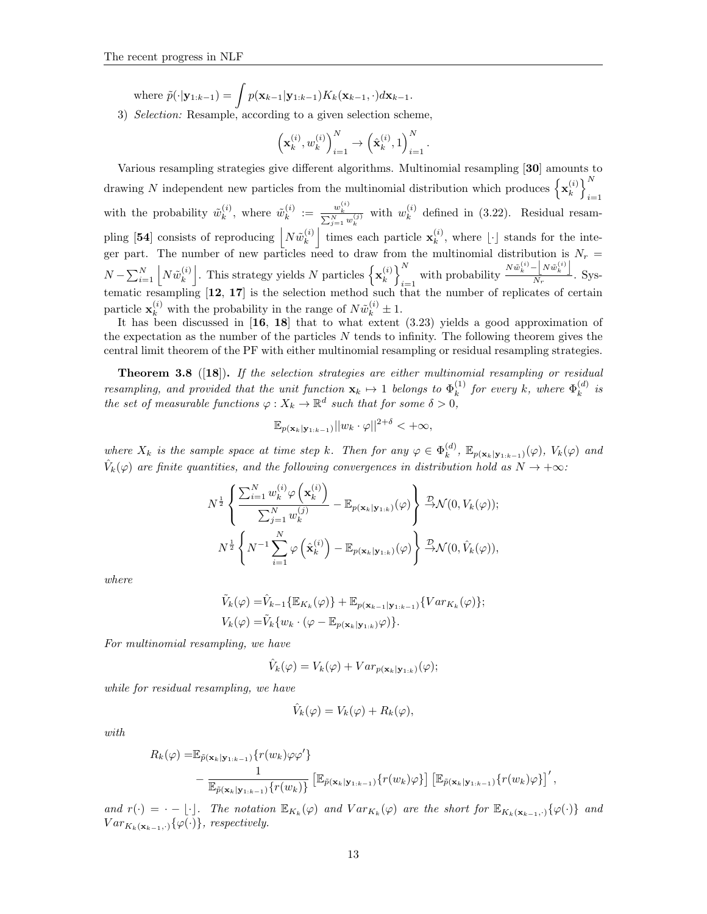where  $\tilde{p}(\cdot|\mathbf{y}_{1:k-1}) = \int p(\mathbf{x}_{k-1}|\mathbf{y}_{1:k-1})K_k(\mathbf{x}_{k-1}, \cdot)d\mathbf{x}_{k-1}.$ 

3) Selection: Resample, according to a given selection scheme,

$$
\left(\mathbf{x}_k^{(i)}, w_k^{(i)}\right)_{i=1}^N \to \left(\hat{\mathbf{x}}_k^{(i)}, 1\right)_{i=1}^N.
$$

Various resampling strategies give different algorithms. Multinomial resampling [30] amounts to drawing N independent new particles from the multinomial distribution which produces  $\{x_k^{(i)}\}$  $\begin{pmatrix} i \\ k \end{pmatrix}$  $i=1$ with the probability  $\tilde{w}_k^{(i)}$  $\widetilde{w}_{k}^{(i)}$ , where  $\widetilde{w}_{k}^{(i)}$  $\frac{w_k^{(i)}}{k} := \frac{w_k^{(i)}}{\sum_{j=1}^N w_k^{(j)}}$  with  $w_k^{(i)}$  $\binom{a}{k}$  defined in (3.22). Residual resampling [54] consists of reproducing  $N\tilde{w}_k^{(i)}$  $\mathbf{x}_{k}^{(i)}$  times each particle  $\mathbf{x}_{k}^{(i)}$  $\binom{v}{k}$ , where  $\lfloor \cdot \rfloor$  stands for the integer part. The number of new particles need to draw from the multinomial distribution is  $N_r =$  $N - \sum_{i=1}^{N} N \tilde{w}_{k}^{(i)}$  $\mathbf{k}^{(i)}_k$ . This strategy yields N particles  $\left\{\mathbf{x}_k^{(i)}\right\}$ .  $\begin{pmatrix} i \\ k \end{pmatrix}$  $\sum_{i=1}^{N}$  with probability  $\frac{N\tilde{w}_k^{(i)} - N\tilde{w}_k^{(i)}}{N_r}$  $\frac{\lfloor \cdots \rfloor}{N_r}$ . Systematic resampling [12, 17] is the selection method such that the number of replicates of certain particle  $\mathbf{x}_k^{(i)}$  with the probability in the range of  $N\tilde{w}_k^{(i)} \pm 1$ .

It has been discussed in [16, 18] that to what extent (3.23) yields a good approximation of the expectation as the number of the particles  $N$  tends to infinity. The following theorem gives the central limit theorem of the PF with either multinomial resampling or residual resampling strategies.

**Theorem 3.8** ([18]). If the selection strategies are either multinomial resampling or residual resampling, and provided that the unit function  $\mathbf{x}_k \mapsto 1$  belongs to  $\Phi_k^{(1)}$  $\mathbf{F}_k^{(1)}$  for every k, where  $\Phi_k^{(d)}$  $\binom{a}{k}$  is the set of measurable functions  $\varphi: X_k \to \mathbb{R}^d$  such that for some  $\delta > 0$ ,

$$
\mathbb{E}_{p(\mathbf{x}_k|\mathbf{y}_{1:k-1})}||w_k \cdot \varphi||^{2+\delta} < +\infty,
$$

where  $X_k$  is the sample space at time step k. Then for any  $\varphi \in \Phi_k^{(d)}$  $_{k}^{(d)}$ ,  $\mathbb{E}_{p(\mathbf{x}_{k}|\mathbf{y}_{1:k-1})}(\varphi)$ ,  $V_{k}(\varphi)$  and  $\hat{V}_k(\varphi)$  are finite quantities, and the following convergences in distribution hold as  $N \to +\infty$ :

$$
N^{\frac{1}{2}}\left\{\frac{\sum_{i=1}^{N}w_k^{(i)}\varphi\left(\mathbf{x}_k^{(i)}\right)}{\sum_{j=1}^{N}w_k^{(j)}}-\mathbb{E}_{p(\mathbf{x}_k|\mathbf{y}_{1:k})}(\varphi)\right\}\frac{\mathcal{D}}{\rightarrow}\mathcal{N}(0,V_k(\varphi));
$$

$$
N^{\frac{1}{2}}\left\{N^{-1}\sum_{i=1}^{N}\varphi\left(\hat{\mathbf{x}}_k^{(i)}\right)-\mathbb{E}_{p(\mathbf{x}_k|\mathbf{y}_{1:k})}(\varphi)\right\}\frac{\mathcal{D}}{\rightarrow}\mathcal{N}(0,\hat{V}_k(\varphi)),
$$

where

$$
\tilde{V}_k(\varphi) = \hat{V}_{k-1}\{\mathbb{E}_{K_k}(\varphi)\} + \mathbb{E}_{p(\mathbf{x}_{k-1}|\mathbf{y}_{1:k-1})}\{Var_{K_k}(\varphi)\};
$$
\n
$$
V_k(\varphi) = \tilde{V}_k\{w_k \cdot (\varphi - \mathbb{E}_{p(\mathbf{x}_k|\mathbf{y}_{1:k})}\varphi)\}.
$$

For multinomial resampling, we have

$$
\hat{V}_k(\varphi) = V_k(\varphi) + Var_{p(\mathbf{x}_k|\mathbf{y}_{1:k})}(\varphi);
$$

while for residual resampling, we have

$$
\hat{V}_k(\varphi) = V_k(\varphi) + R_k(\varphi),
$$

with

$$
R_k(\varphi) = \mathbb{E}_{\tilde{p}(\mathbf{x}_k|\mathbf{y}_{1:k-1})} \{r(w_k)\varphi\varphi'\}
$$
  
 
$$
- \frac{1}{\mathbb{E}_{\tilde{p}(\mathbf{x}_k|\mathbf{y}_{1:k-1})} \{r(w_k)\}} \left[\mathbb{E}_{\tilde{p}(\mathbf{x}_k|\mathbf{y}_{1:k-1})} \{r(w_k)\varphi\}\right] \left[\mathbb{E}_{\tilde{p}(\mathbf{x}_k|\mathbf{y}_{1:k-1})} \{r(w_k)\varphi\}\right]',
$$

and  $r(\cdot) = \cdot - \lfloor \cdot \rfloor$ . The notation  $\mathbb{E}_{K_k}(\varphi)$  and  $Var_{K_k}(\varphi)$  are the short for  $\mathbb{E}_{K_k(\mathbf{x}_{k-1},\cdot)}\{\varphi(\cdot)\}\$  and  $Var_{K_k(\mathbf{x}_{k-1},\cdot)}\{\varphi(\cdot)\}\text{, respectively.}$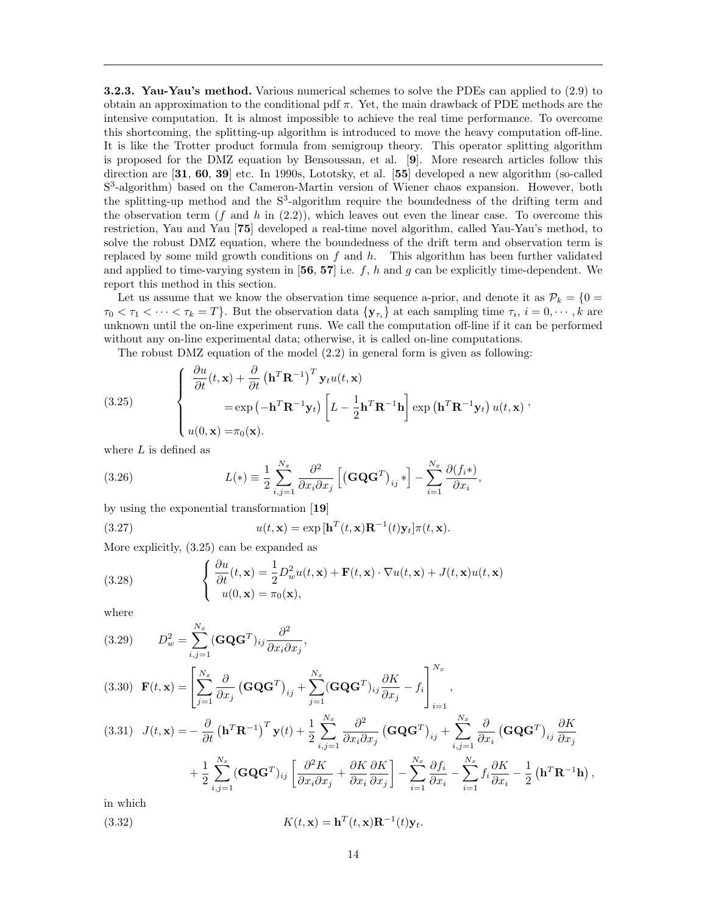3.2.3. Yau-Yau's method. Various numerical schemes to solve the PDEs can applied to (2.9) to obtain an approximation to the conditional pdf  $\pi$ . Yet, the main drawback of PDE methods are the intensive computation. It is almost impossible to achieve the real time performance. To overcome this shortcoming, the splitting-up algorithm is introduced to move the heavy computation off-line. It is like the Trotter product formula from semigroup theory. This operator splitting algorithm is proposed for the DMZ equation by Bensoussan, et al. [9]. More research articles follow this direction are [31, 60, 39] etc. In 1990s, Lototsky, et al. [55] developed a new algorithm (so-called S<sup>3</sup>-algorithm) based on the Cameron-Martin version of Wiener chaos expansion. However, both the splitting-up method and the  $S<sup>3</sup>$ -algorithm require the boundedness of the drifting term and the observation term  $(f \text{ and } h \text{ in } (2.2))$ , which leaves out even the linear case. To overcome this restriction, Yau and Yau [75] developed a real-time novel algorithm, called Yau-Yau's method, to solve the robust DMZ equation, where the boundedness of the drift term and observation term is replaced by some mild growth conditions on  $f$  and  $h$ . This algorithm has been further validated and applied to time-varying system in  $[56, 57]$  i.e. f, h and g can be explicitly time-dependent. We report this method in this section.

Let us assume that we know the observation time sequence a-prior, and denote it as  $\mathcal{P}_k = \{0\}$  $\tau_0 < \tau_1 < \cdots < \tau_k = T$ . But the observation data  $\{y_{\tau_i}\}\$ at each sampling time  $\tau_i$ ,  $i = 0, \cdots, k$  are unknown until the on-line experiment runs. We call the computation off-line if it can be performed without any on-line experimental data; otherwise, it is called on-line computations.

The robust DMZ equation of the model (2.2) in general form is given as following:

(3.25) 
$$
\begin{cases} \frac{\partial u}{\partial t}(t, \mathbf{x}) + \frac{\partial}{\partial t} (\mathbf{h}^T \mathbf{R}^{-1})^T \mathbf{y}_t u(t, \mathbf{x}) \\ = \exp(-\mathbf{h}^T \mathbf{R}^{-1} \mathbf{y}_t) \left[L - \frac{1}{2} \mathbf{h}^T \mathbf{R}^{-1} \mathbf{h}\right] \exp(\mathbf{h}^T \mathbf{R}^{-1} \mathbf{y}_t) u(t, \mathbf{x}) \\ u(0, \mathbf{x}) = \pi_0(\mathbf{x}). \end{cases}
$$

where  $L$  is defined as

(3.26) 
$$
L(*) \equiv \frac{1}{2} \sum_{i,j=1}^{N_x} \frac{\partial^2}{\partial x_i \partial x_j} \left[ \left( \mathbf{G} \mathbf{Q} \mathbf{G}^T \right)_{ij} * \right] - \sum_{i=1}^{N_x} \frac{\partial (f_i*)}{\partial x_i},
$$

by using the exponential transformation [19]

∂u

(3.27) 
$$
u(t, \mathbf{x}) = \exp\left[\mathbf{h}^T(t, \mathbf{x})\mathbf{R}^{-1}(t)\mathbf{y}_t\right]\pi(t, \mathbf{x}).
$$

More explicitly, (3.25) can be expanded as

(3.28) 
$$
\begin{cases} \frac{\partial u}{\partial t}(t, \mathbf{x}) = \frac{1}{2} D_w^2 u(t, \mathbf{x}) + \mathbf{F}(t, \mathbf{x}) \cdot \nabla u(t, \mathbf{x}) + J(t, \mathbf{x}) u(t, \mathbf{x}) \\ u(0, \mathbf{x}) = \pi_0(\mathbf{x}), \end{cases}
$$

where

(3.29) 
$$
D_w^2 = \sum_{i,j=1}^{N_x} (\mathbf{G} \mathbf{Q} \mathbf{G}^T)_{ij} \frac{\partial^2}{\partial x_i \partial x_j},
$$

$$
(3.30) \mathbf{F}(t, \mathbf{x}) = \left[ \sum_{j=1}^{N_x} \frac{\partial}{\partial x_j} \left( \mathbf{G} \mathbf{Q} \mathbf{G}^T \right)_{ij} + \sum_{j=1}^{N_x} (\mathbf{G} \mathbf{Q} \mathbf{G}^T)_{ij} \frac{\partial K}{\partial x_j} - f_i \right]_{i=1}^{N_x},
$$

$$
(3.31) \quad J(t, \mathbf{x}) = -\frac{\partial}{\partial t} (\mathbf{h}^T \mathbf{R}^{-1})^T \mathbf{y}(t) + \frac{1}{2} \sum_{i,j=1}^{N_x} \frac{\partial^2}{\partial x_i \partial x_j} (\mathbf{G} \mathbf{Q} \mathbf{G}^T)_{ij} + \sum_{i,j=1}^{N_x} \frac{\partial}{\partial x_i} (\mathbf{G} \mathbf{Q} \mathbf{G}^T)_{ij} \frac{\partial K}{\partial x_j} + \frac{1}{2} \sum_{i,j=1}^{N_x} (\mathbf{G} \mathbf{Q} \mathbf{G}^T)_{ij} \left[ \frac{\partial^2 K}{\partial x_i \partial x_j} + \frac{\partial K}{\partial x_i} \frac{\partial K}{\partial x_j} \right] - \sum_{i=1}^{N_x} \frac{\partial f_i}{\partial x_i} - \sum_{i=1}^{N_x} f_i \frac{\partial K}{\partial x_i} - \frac{1}{2} (\mathbf{h}^T \mathbf{R}^{-1} \mathbf{h}),
$$

in which

(3.32) 
$$
K(t, \mathbf{x}) = \mathbf{h}^{T}(t, \mathbf{x})\mathbf{R}^{-1}(t)\mathbf{y}_{t}.
$$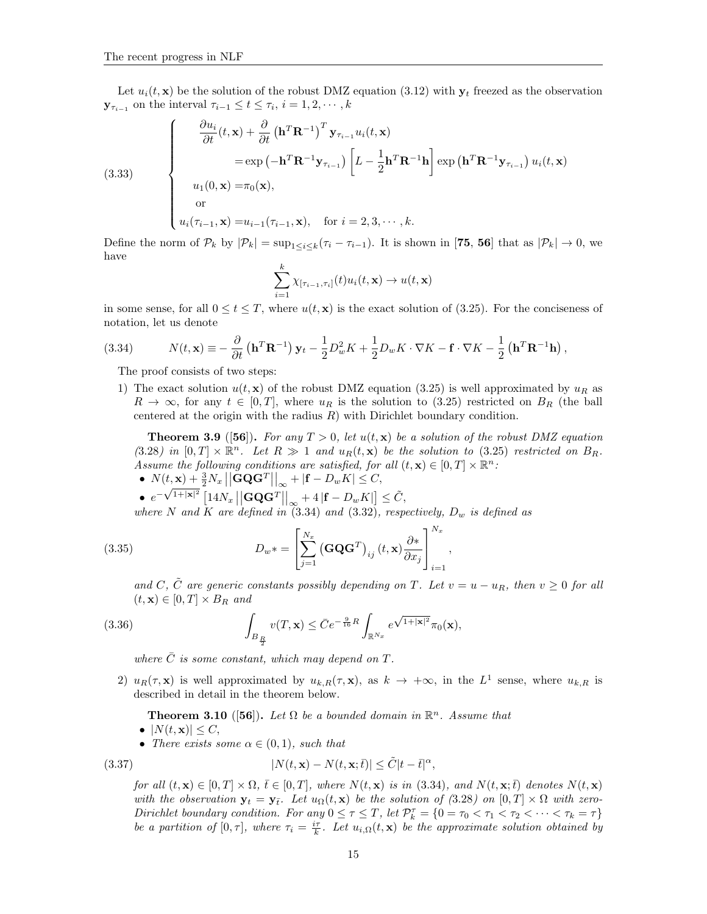(3.33)

Let  $u_i(t, \mathbf{x})$  be the solution of the robust DMZ equation (3.12) with  $\mathbf{y}_t$  freezed as the observation  $\mathbf{y}_{\tau_{i-1}}$  on the interval  $\tau_{i-1} \leq t \leq \tau_i$ ,  $i = 1, 2, \cdots, k$ 

$$
\begin{cases}\n\frac{\partial u_i}{\partial t}(t, \mathbf{x}) + \frac{\partial}{\partial t} (\mathbf{h}^T \mathbf{R}^{-1})^T \mathbf{y}_{\tau_{i-1}} u_i(t, \mathbf{x}) \\
= \exp(-\mathbf{h}^T \mathbf{R}^{-1} \mathbf{y}_{\tau_{i-1}}) \left[ L - \frac{1}{2} \mathbf{h}^T \mathbf{R}^{-1} \mathbf{h} \right] \exp(\mathbf{h}^T \mathbf{R}^{-1} \mathbf{y}_{\tau_{i-1}}) u_i(t, \mathbf{x}) \\
u_1(0, \mathbf{x}) = \pi_0(\mathbf{x}), \\
\text{or} \\
u_i(\tau_{i-1}, \mathbf{x}) = u_{i-1}(\tau_{i-1}, \mathbf{x}), \quad \text{for } i = 2, 3, \cdots, k.\n\end{cases}
$$

Define the norm of  $\mathcal{P}_k$  by  $|\mathcal{P}_k| = \sup_{1 \leq i \leq k} (\tau_i - \tau_{i-1})$ . It is shown in [75, 56] that as  $|\mathcal{P}_k| \to 0$ , we have

$$
\sum_{i=1}^k \chi_{[\tau_{i-1},\tau_i]}(t) u_i(t,\mathbf{x}) \to u(t,\mathbf{x})
$$

in some sense, for all  $0 \le t \le T$ , where  $u(t, \mathbf{x})$  is the exact solution of (3.25). For the conciseness of notation, let us denote

(3.34) 
$$
N(t, \mathbf{x}) \equiv -\frac{\partial}{\partial t} \left( \mathbf{h}^T \mathbf{R}^{-1} \right) \mathbf{y}_t - \frac{1}{2} D_w^2 K + \frac{1}{2} D_w K \cdot \nabla K - \mathbf{f} \cdot \nabla K - \frac{1}{2} \left( \mathbf{h}^T \mathbf{R}^{-1} \mathbf{h} \right),
$$

The proof consists of two steps:

1) The exact solution  $u(t, \mathbf{x})$  of the robust DMZ equation (3.25) is well approximated by  $u_R$  as  $R \to \infty$ , for any  $t \in [0, T]$ , where  $u_R$  is the solution to (3.25) restricted on  $B_R$  (the ball centered at the origin with the radius  $R$ ) with Dirichlet boundary condition.

**Theorem 3.9** ([56]). For any  $T > 0$ , let  $u(t, x)$  be a solution of the robust DMZ equation (3.28) in  $[0,T] \times \mathbb{R}^n$ . Let  $R \gg 1$  and  $u_R(t, \mathbf{x})$  be the solution to (3.25) restricted on  $B_R$ . Assume the following conditions are satisfied, for all  $(t, \mathbf{x}) \in [0, T] \times \mathbb{R}^n$ . •  $N(t, \mathbf{x}) + \frac{3}{2}N_x ||\mathbf{G} \mathbf{Q} \mathbf{G}^T||_{\infty} + |\mathbf{f} - D_w K| \leq C,$ 

 $\bullet$   $e^{-\sqrt{1+|\mathbf{x}|^2}} \left[14N_x \left|\left|\mathbf{G}\mathbf{Q}\mathbf{G}^T\right|\right|_{\infty} + 4\left|\mathbf{f} - D_w K\right|\right] \leq \tilde{C},$ 

where N and K are defined in  $(3.34)$  and  $(3.32)$ , respectively,  $D_w$  is defined as

(3.35) 
$$
D_w \ast = \left[ \sum_{j=1}^{N_x} \left( \mathbf{G} \mathbf{Q} \mathbf{G}^T \right)_{ij} (t, \mathbf{x}) \frac{\partial \ast}{\partial x_j} \right]_{i=1}^{N_x},
$$

and C,  $\tilde{C}$  are generic constants possibly depending on T. Let  $v = u - u_R$ , then  $v \geq 0$  for all  $(t, \mathbf{x}) \in [0, T] \times B_R$  and

(3.36) 
$$
\int_{B_{\frac{R}{2}}} v(T, \mathbf{x}) \leq \bar{C} e^{-\frac{9}{16}R} \int_{\mathbb{R}^{N_x}} e^{\sqrt{1+|\mathbf{x}|^2}} \pi_0(\mathbf{x}),
$$

where  $\overline{C}$  is some constant, which may depend on T.

2)  $u_R(\tau, \mathbf{x})$  is well approximated by  $u_{k,R}(\tau, \mathbf{x})$ , as  $k \to +\infty$ , in the  $L^1$  sense, where  $u_{k,R}$  is described in detail in the theorem below.

**Theorem 3.10** ([56]). Let  $\Omega$  be a bounded domain in  $\mathbb{R}^n$ . Assume that

- $|N(t, \mathbf{x})| \leq C$ ,
- There exists some  $\alpha \in (0,1)$ , such that

(3.37) 
$$
|N(t, \mathbf{x}) - N(t, \mathbf{x}; \bar{t})| \leq \tilde{C}|t - \bar{t}|^{\alpha},
$$

for all  $(t, \mathbf{x}) \in [0, T] \times \Omega$ ,  $\bar{t} \in [0, T]$ , where  $N(t, \mathbf{x})$  is in (3.34), and  $N(t, \mathbf{x}; \bar{t})$  denotes  $N(t, \mathbf{x})$ with the observation  $y_t = y_{\bar{t}}$ . Let  $u_{\Omega}(t, x)$  be the solution of (3.28) on  $[0, T] \times \Omega$  with zero-Dirichlet boundary condition. For any  $0 \leq \tau \leq T$ , let  $\mathcal{P}_k^{\tau} = \{0 = \tau_0 < \tau_1 < \tau_2 < \cdots < \tau_k = \tau\}$ be a partition of  $[0, \tau]$ , where  $\tau_i = \frac{i\tau}{k}$ . Let  $u_{i,\Omega}(t, \mathbf{x})$  be the approximate solution obtained by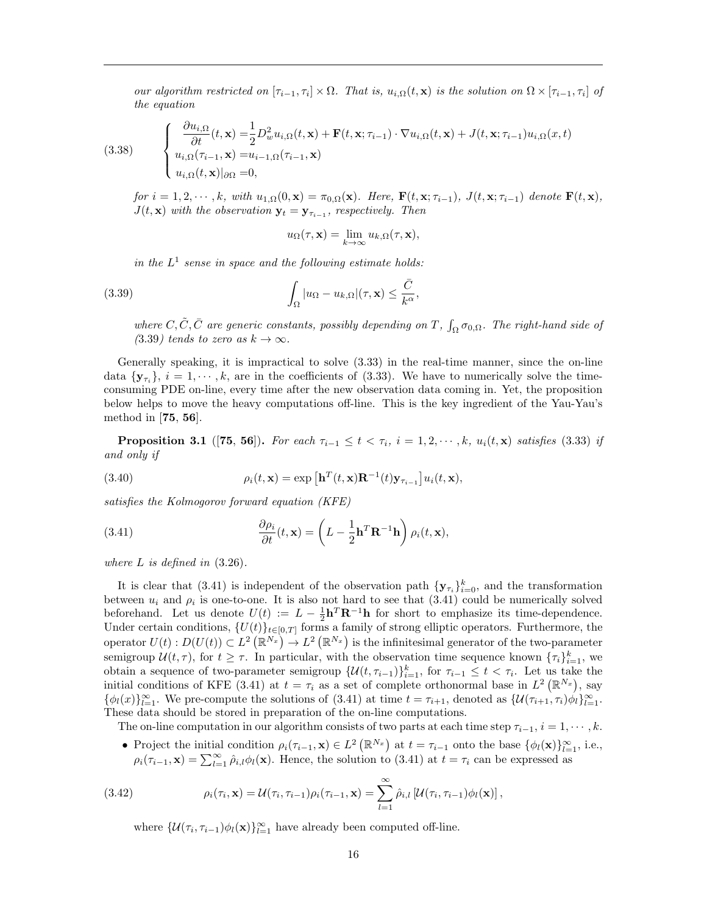our algorithm restricted on  $[\tau_{i-1}, \tau_i] \times \Omega$ . That is,  $u_{i,\Omega}(t, \mathbf{x})$  is the solution on  $\Omega \times [\tau_{i-1}, \tau_i]$  of the equation

(3.38) 
$$
\begin{cases} \frac{\partial u_{i,\Omega}}{\partial t}(t,\mathbf{x}) = \frac{1}{2}D_w^2 u_{i,\Omega}(t,\mathbf{x}) + \mathbf{F}(t,\mathbf{x};\tau_{i-1}) \cdot \nabla u_{i,\Omega}(t,\mathbf{x}) + J(t,\mathbf{x};\tau_{i-1})u_{i,\Omega}(x,t) \\ u_{i,\Omega}(\tau_{i-1},\mathbf{x}) = u_{i-1,\Omega}(\tau_{i-1},\mathbf{x}) \\ u_{i,\Omega}(t,\mathbf{x})|_{\partial\Omega} = 0, \end{cases}
$$

for  $i = 1, 2, \dots, k$ , with  $u_{1,\Omega}(0, \mathbf{x}) = \pi_{0,\Omega}(\mathbf{x})$ . Here,  $\mathbf{F}(t, \mathbf{x}; \tau_{i-1})$ ,  $J(t, \mathbf{x}; \tau_{i-1})$  denote  $\mathbf{F}(t, \mathbf{x})$ ,  $J(t, \mathbf{x})$  with the observation  $\mathbf{y}_t = \mathbf{y}_{\tau_{i-1}}$ , respectively. Then

$$
u_{\Omega}(\tau, \mathbf{x}) = \lim_{k \to \infty} u_{k,\Omega}(\tau, \mathbf{x}),
$$

in the  $L^1$  sense in space and the following estimate holds:

(3.39) 
$$
\int_{\Omega} |u_{\Omega} - u_{k,\Omega}|(\tau, \mathbf{x}) \leq \frac{\bar{C}}{k^{\alpha}},
$$

where  $C, \tilde{C}, \bar{C}$  are generic constants, possibly depending on T,  $\int_{\Omega} \sigma_{0,\Omega}$ . The right-hand side of (3.39) tends to zero as  $k \to \infty$ .

Generally speaking, it is impractical to solve (3.33) in the real-time manner, since the on-line data  $\{y_{\tau_i}\}\$ ,  $i=1,\dots,k$ , are in the coefficients of (3.33). We have to numerically solve the timeconsuming PDE on-line, every time after the new observation data coming in. Yet, the proposition below helps to move the heavy computations off-line. This is the key ingredient of the Yau-Yau's method in [75, 56].

**Proposition 3.1** ([75, 56]). For each  $\tau_{i-1} \leq t < \tau_i$ ,  $i = 1, 2, \dots, k$ ,  $u_i(t, x)$  satisfies (3.33) if and only if

(3.40) 
$$
\rho_i(t, \mathbf{x}) = \exp\left[\mathbf{h}^T(t, \mathbf{x})\mathbf{R}^{-1}(t)\mathbf{y}_{\tau_{i-1}}\right]u_i(t, \mathbf{x}),
$$

satisfies the Kolmogorov forward equation (KFE)

(3.41) 
$$
\frac{\partial \rho_i}{\partial t}(t, \mathbf{x}) = \left( L - \frac{1}{2} \mathbf{h}^T \mathbf{R}^{-1} \mathbf{h} \right) \rho_i(t, \mathbf{x}),
$$

where  $L$  is defined in  $(3.26)$ .

It is clear that (3.41) is independent of the observation path  $\{y_{\tau_i}\}_{i=0}^k$ , and the transformation between  $u_i$  and  $\rho_i$  is one-to-one. It is also not hard to see that  $(3.41)$  could be numerically solved beforehand. Let us denote  $U(t) := L - \frac{1}{2} \mathbf{h}^T \mathbf{R}^{-1} \mathbf{h}$  for short to emphasize its time-dependence. Under certain conditions,  ${U(t)}_{t\in[0,T]}$  forms a family of strong elliptic operators. Furthermore, the operator  $U(t)$ :  $D(U(t)) \subset L^2(\mathbb{R}^{N_x}) \to L^2(\mathbb{R}^{N_x})$  is the infinitesimal generator of the two-parameter semigroup  $\mathcal{U}(t,\tau)$ , for  $t \geq \tau$ . In particular, with the observation time sequence known  $\{\tau_i\}_{i=1}^k$ , we obtain a sequence of two-parameter semigroup  $\{\mathcal{U}(t, \tau_{i-1})\}_{i=1}^k$ , for  $\tau_{i-1} \leq t < \tau_i$ . Let us take the initial conditions of KFE (3.41) at  $t = \tau_i$  as a set of complete orthonormal base in  $L^2(\mathbb{R}^{N_x})$ , say  $\{\phi_l(x)\}_{l=1}^{\infty}$ . We pre-compute the solutions of (3.41) at time  $t = \tau_{i+1}$ , denoted as  $\{\mathcal{U}(\tau_{i+1}, \tau_i)\phi_l\}_{l=1}^{\infty}$ . These data should be stored in preparation of the on-line computations.

The on-line computation in our algorithm consists of two parts at each time step  $\tau_{i-1}, i = 1, \dots, k$ .

• Project the initial condition  $\rho_i(\tau_{i-1}, \mathbf{x}) \in L^2(\mathbb{R}^{N_x})$  at  $t = \tau_{i-1}$  onto the base  $\{\phi_l(\mathbf{x})\}_{l=1}^{\infty}$ , i.e.,  $\rho_i(\tau_{i-1}, \mathbf{x}) = \sum_{l=1}^{\infty} \hat{\rho}_{i,l} \phi_l(\mathbf{x})$ . Hence, the solution to (3.41) at  $t = \tau_i$  can be expressed as

(3.42) 
$$
\rho_i(\tau_i, \mathbf{x}) = \mathcal{U}(\tau_i, \tau_{i-1}) \rho_i(\tau_{i-1}, \mathbf{x}) = \sum_{l=1}^{\infty} \hat{\rho}_{i,l} \left[ \mathcal{U}(\tau_i, \tau_{i-1}) \phi_l(\mathbf{x}) \right],
$$

where  $\{\mathcal{U}(\tau_i, \tau_{i-1})\phi_l(\mathbf{x})\}_{l=1}^{\infty}$  have already been computed off-line.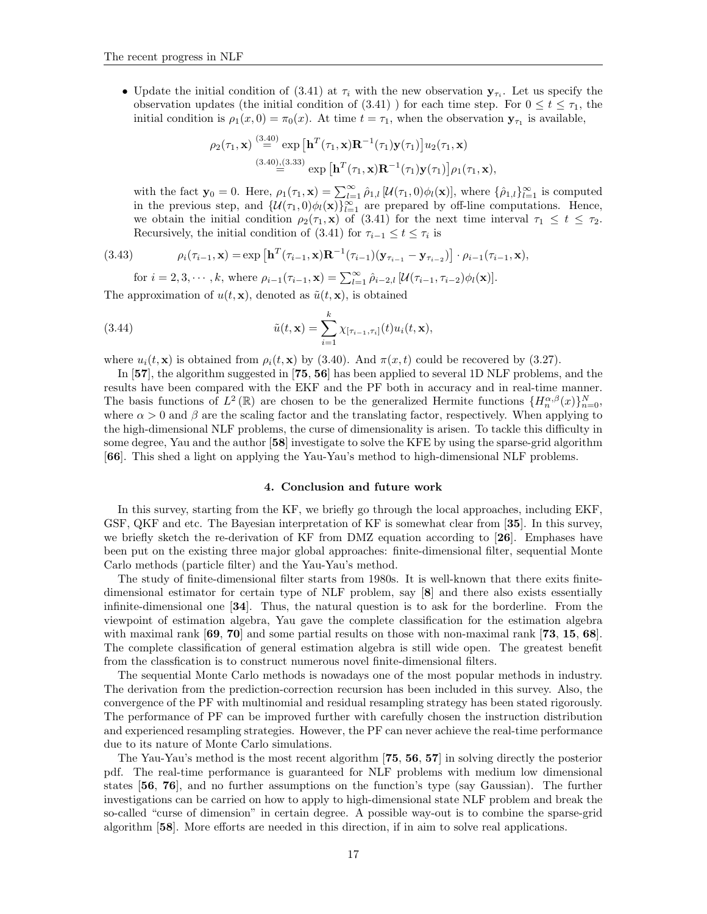• Update the initial condition of (3.41) at  $\tau_i$  with the new observation  $y_{\tau_i}$ . Let us specify the observation updates (the initial condition of  $(3.41)$ ) for each time step. For  $0 \le t \le \tau_1$ , the initial condition is  $\rho_1(x,0) = \pi_0(x)$ . At time  $t = \tau_1$ , when the observation  $\mathbf{y}_{\tau_1}$  is available,

$$
\rho_2(\tau_1, \mathbf{x}) \stackrel{(3.40)}{=} \exp\left[\mathbf{h}^T(\tau_1, \mathbf{x})\mathbf{R}^{-1}(\tau_1)\mathbf{y}(\tau_1)\right]u_2(\tau_1, \mathbf{x})
$$
  
\n
$$
\stackrel{(3.40),(3.33)}{=} \exp\left[\mathbf{h}^T(\tau_1, \mathbf{x})\mathbf{R}^{-1}(\tau_1)\mathbf{y}(\tau_1)\right]\rho_1(\tau_1, \mathbf{x}),
$$

with the fact  $\mathbf{y}_0 = 0$ . Here,  $\rho_1(\tau_1, \mathbf{x}) = \sum_{l=1}^{\infty} \hat{\rho}_{1,l} [\mathcal{U}(\tau_1, 0) \phi_l(\mathbf{x})]$ , where  $\{\hat{\rho}_{1,l}\}_{l=1}^{\infty}$  is computed in the previous step, and  $\{U(\tau_1,0)\phi_l(\mathbf{x})\}_{l=1}^{\infty}$  are prepared by off-line computations. Hence, we obtain the initial condition  $\rho_2(\tau_1, \mathbf{x})$  of (3.41) for the next time interval  $\tau_1 \leq t \leq \tau_2$ . Recursively, the initial condition of (3.41) for  $\tau_{i-1} \leq t \leq \tau_i$  is

(3.43) 
$$
\rho_i(\tau_{i-1}, \mathbf{x}) = \exp\left[\mathbf{h}^T(\tau_{i-1}, \mathbf{x})\mathbf{R}^{-1}(\tau_{i-1})(\mathbf{y}_{\tau_{i-1}} - \mathbf{y}_{\tau_{i-2}})\right] \cdot \rho_{i-1}(\tau_{i-1}, \mathbf{x}),
$$

for 
$$
i = 2, 3, \dots, k
$$
, where  $\rho_{i-1}(\tau_{i-1}, \mathbf{x}) = \sum_{l=1}^{\infty} \hat{\rho}_{i-2,l} [\mathcal{U}(\tau_{i-1}, \tau_{i-2}) \phi_l(\mathbf{x})].$ 

The approximation of  $u(t, \mathbf{x})$ , denoted as  $\tilde{u}(t, \mathbf{x})$ , is obtained

(3.44) 
$$
\tilde{u}(t,\mathbf{x}) = \sum_{i=1}^{k} \chi_{[\tau_{i-1},\tau_i]}(t) u_i(t,\mathbf{x}),
$$

where  $u_i(t, \mathbf{x})$  is obtained from  $\rho_i(t, \mathbf{x})$  by (3.40). And  $\pi(x, t)$  could be recovered by (3.27).

In [57], the algorithm suggested in [75, 56] has been applied to several 1D NLF problems, and the results have been compared with the EKF and the PF both in accuracy and in real-time manner. The basis functions of  $L^2(\mathbb{R})$  are chosen to be the generalized Hermite functions  $\{H_n^{\alpha,\beta}(x)\}_{n=0}^N$ , where  $\alpha > 0$  and  $\beta$  are the scaling factor and the translating factor, respectively. When applying to the high-dimensional NLF problems, the curse of dimensionality is arisen. To tackle this difficulty in some degree, Yau and the author [58] investigate to solve the KFE by using the sparse-grid algorithm [66]. This shed a light on applying the Yau-Yau's method to high-dimensional NLF problems.

# 4. Conclusion and future work

In this survey, starting from the KF, we briefly go through the local approaches, including EKF, GSF, QKF and etc. The Bayesian interpretation of KF is somewhat clear from [35]. In this survey, we briefly sketch the re-derivation of KF from DMZ equation according to [26]. Emphases have been put on the existing three major global approaches: finite-dimensional filter, sequential Monte Carlo methods (particle filter) and the Yau-Yau's method.

The study of finite-dimensional filter starts from 1980s. It is well-known that there exits finitedimensional estimator for certain type of NLF problem, say [8] and there also exists essentially infinite-dimensional one [34]. Thus, the natural question is to ask for the borderline. From the viewpoint of estimation algebra, Yau gave the complete classification for the estimation algebra with maximal rank  $[69, 70]$  and some partial results on those with non-maximal rank  $[73, 15, 68]$ . The complete classification of general estimation algebra is still wide open. The greatest benefit from the classfication is to construct numerous novel finite-dimensional filters.

The sequential Monte Carlo methods is nowadays one of the most popular methods in industry. The derivation from the prediction-correction recursion has been included in this survey. Also, the convergence of the PF with multinomial and residual resampling strategy has been stated rigorously. The performance of PF can be improved further with carefully chosen the instruction distribution and experienced resampling strategies. However, the PF can never achieve the real-time performance due to its nature of Monte Carlo simulations.

The Yau-Yau's method is the most recent algorithm [75, 56, 57] in solving directly the posterior pdf. The real-time performance is guaranteed for NLF problems with medium low dimensional states [56, 76], and no further assumptions on the function's type (say Gaussian). The further investigations can be carried on how to apply to high-dimensional state NLF problem and break the so-called "curse of dimension" in certain degree. A possible way-out is to combine the sparse-grid algorithm [58]. More efforts are needed in this direction, if in aim to solve real applications.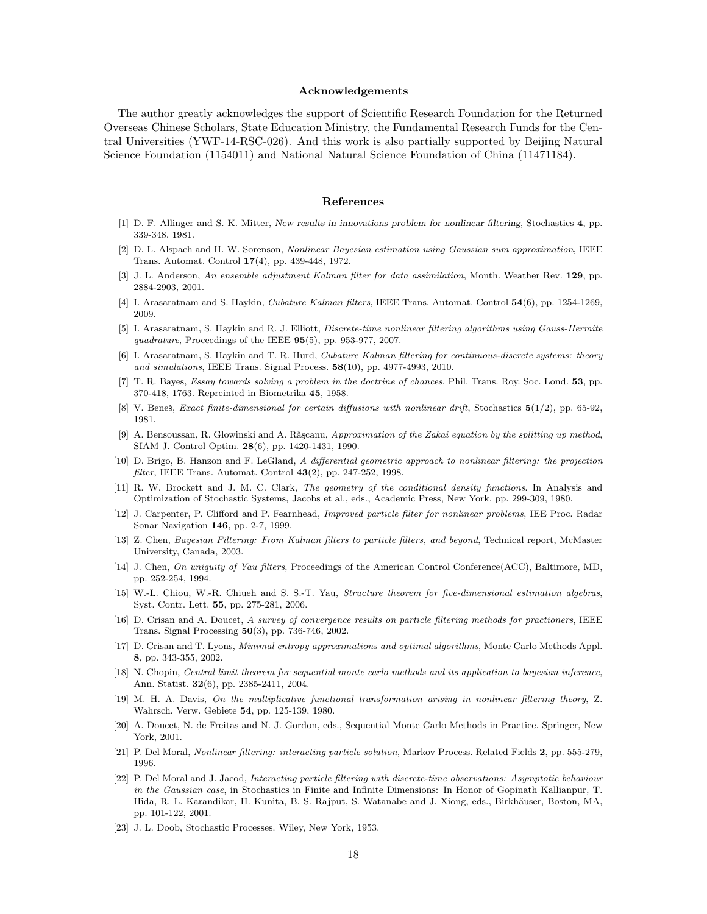#### Acknowledgements

The author greatly acknowledges the support of Scientific Research Foundation for the Returned Overseas Chinese Scholars, State Education Ministry, the Fundamental Research Funds for the Central Universities (YWF-14-RSC-026). And this work is also partially supported by Beijing Natural Science Foundation (1154011) and National Natural Science Foundation of China (11471184).

## References

- [1] D. F. Allinger and S. K. Mitter, New results in innovations problem for nonlinear filtering, Stochastics 4, pp. 339-348, 1981.
- [2] D. L. Alspach and H. W. Sorenson, Nonlinear Bayesian estimation using Gaussian sum approximation, IEEE Trans. Automat. Control 17(4), pp. 439-448, 1972.
- [3] J. L. Anderson, An ensemble adjustment Kalman filter for data assimilation, Month. Weather Rev. 129, pp. 2884-2903, 2001.
- [4] I. Arasaratnam and S. Haykin, Cubature Kalman filters, IEEE Trans. Automat. Control 54(6), pp. 1254-1269, 2009.
- [5] I. Arasaratnam, S. Haykin and R. J. Elliott, Discrete-time nonlinear filtering algorithms using Gauss-Hermite quadrature, Proceedings of the IEEE  $95(5)$ , pp. 953-977, 2007.
- [6] I. Arasaratnam, S. Haykin and T. R. Hurd, Cubature Kalman filtering for continuous-discrete systems: theory and simulations, IEEE Trans. Signal Process. 58(10), pp. 4977-4993, 2010.
- [7] T. R. Bayes, Essay towards solving a problem in the doctrine of chances, Phil. Trans. Roy. Soc. Lond. 53, pp. 370-418, 1763. Repreinted in Biometrika 45, 1958.
- V. Beneš, Exact finite-dimensional for certain diffusions with nonlinear drift, Stochastics  $5(1/2)$ , pp. 65-92, 1981.
- [9] A. Bensoussan, R. Glowinski and A. Rǎsçanu, Approximation of the Zakai equation by the splitting up method, SIAM J. Control Optim. 28(6), pp. 1420-1431, 1990.
- [10] D. Brigo, B. Hanzon and F. LeGland, A differential geometric approach to nonlinear filtering: the projection filter, IEEE Trans. Automat. Control 43(2), pp. 247-252, 1998.
- [11] R. W. Brockett and J. M. C. Clark, The geometry of the conditional density functions. In Analysis and Optimization of Stochastic Systems, Jacobs et al., eds., Academic Press, New York, pp. 299-309, 1980.
- [12] J. Carpenter, P. Clifford and P. Fearnhead, Improved particle filter for nonlinear problems, IEE Proc. Radar Sonar Navigation 146, pp. 2-7, 1999.
- [13] Z. Chen, Bayesian Filtering: From Kalman filters to particle filters, and beyond, Technical report, McMaster University, Canada, 2003.
- [14] J. Chen, On uniquity of Yau filters, Proceedings of the American Control Conference(ACC), Baltimore, MD, pp. 252-254, 1994.
- [15] W.-L. Chiou, W.-R. Chiueh and S. S.-T. Yau, Structure theorem for five-dimensional estimation algebras, Syst. Contr. Lett. 55, pp. 275-281, 2006.
- [16] D. Crisan and A. Doucet, A survey of convergence results on particle filtering methods for practioners, IEEE Trans. Signal Processing 50(3), pp. 736-746, 2002.
- [17] D. Crisan and T. Lyons, Minimal entropy approximations and optimal algorithms, Monte Carlo Methods Appl. 8, pp. 343-355, 2002.
- [18] N. Chopin, Central limit theorem for sequential monte carlo methods and its application to bayesian inference, Ann. Statist. 32(6), pp. 2385-2411, 2004.
- [19] M. H. A. Davis, On the multiplicative functional transformation arising in nonlinear filtering theory, Z. Wahrsch. Verw. Gebiete 54, pp. 125-139, 1980.
- [20] A. Doucet, N. de Freitas and N. J. Gordon, eds., Sequential Monte Carlo Methods in Practice. Springer, New York, 2001.
- [21] P. Del Moral, Nonlinear filtering: interacting particle solution, Markov Process. Related Fields 2, pp. 555-279, 1996.
- [22] P. Del Moral and J. Jacod, Interacting particle filtering with discrete-time observations: Asymptotic behaviour in the Gaussian case, in Stochastics in Finite and Infinite Dimensions: In Honor of Gopinath Kallianpur, T. Hida, R. L. Karandikar, H. Kunita, B. S. Rajput, S. Watanabe and J. Xiong, eds., Birkhäuser, Boston, MA, pp. 101-122, 2001.
- [23] J. L. Doob, Stochastic Processes. Wiley, New York, 1953.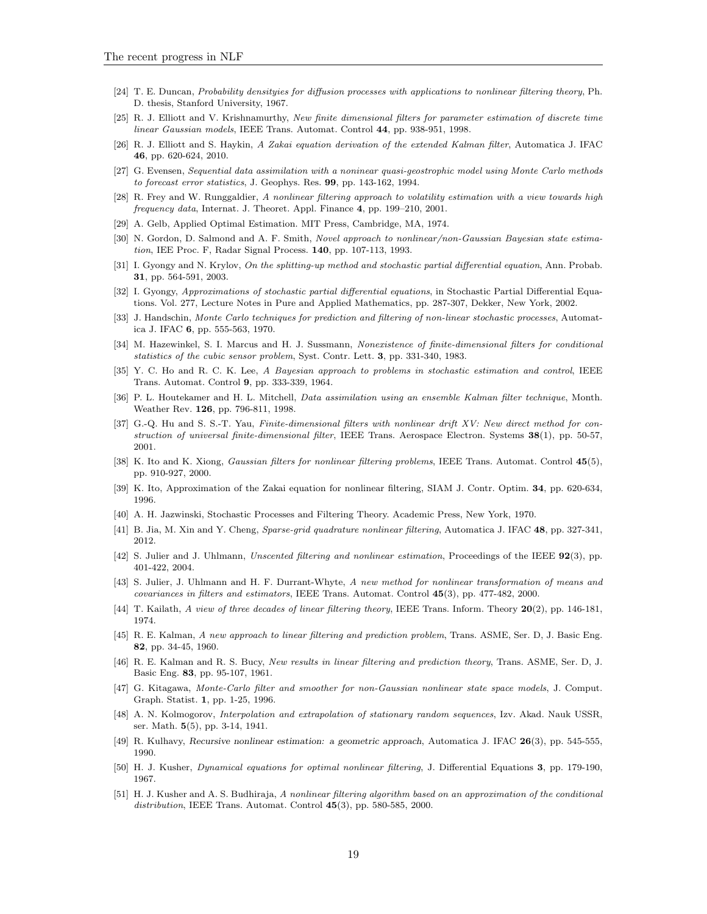- [24] T. E. Duncan, Probability densityies for diffusion processes with applications to nonlinear filtering theory, Ph. D. thesis, Stanford University, 1967.
- [25] R. J. Elliott and V. Krishnamurthy, New finite dimensional filters for parameter estimation of discrete time linear Gaussian models, IEEE Trans. Automat. Control 44, pp. 938-951, 1998.
- [26] R. J. Elliott and S. Haykin, A Zakai equation derivation of the extended Kalman filter, Automatica J. IFAC 46, pp. 620-624, 2010.
- [27] G. Evensen, Sequential data assimilation with a noninear quasi-geostrophic model using Monte Carlo methods to forecast error statistics, J. Geophys. Res. 99, pp. 143-162, 1994.
- [28] R. Frey and W. Runggaldier, A nonlinear filtering approach to volatility estimation with a view towards high frequency data, Internat. J. Theoret. Appl. Finance 4, pp. 199–210, 2001.
- [29] A. Gelb, Applied Optimal Estimation. MIT Press, Cambridge, MA, 1974.
- [30] N. Gordon, D. Salmond and A. F. Smith, Novel approach to nonlinear/non-Gaussian Bayesian state estimation, IEE Proc. F, Radar Signal Process. 140, pp. 107-113, 1993.
- [31] I. Gyongy and N. Krylov, On the splitting-up method and stochastic partial differential equation, Ann. Probab. 31, pp. 564-591, 2003.
- [32] I. Gyongy, Approximations of stochastic partial differential equations, in Stochastic Partial Differential Equations. Vol. 277, Lecture Notes in Pure and Applied Mathematics, pp. 287-307, Dekker, New York, 2002.
- [33] J. Handschin, Monte Carlo techniques for prediction and filtering of non-linear stochastic processes, Automatica J. IFAC 6, pp. 555-563, 1970.
- [34] M. Hazewinkel, S. I. Marcus and H. J. Sussmann, Nonexistence of finite-dimensional filters for conditional statistics of the cubic sensor problem, Syst. Contr. Lett. 3, pp. 331-340, 1983.
- [35] Y. C. Ho and R. C. K. Lee, A Bayesian approach to problems in stochastic estimation and control, IEEE Trans. Automat. Control 9, pp. 333-339, 1964.
- [36] P. L. Houtekamer and H. L. Mitchell, Data assimilation using an ensemble Kalman filter technique, Month. Weather Rev. 126, pp. 796-811, 1998.
- [37] G.-Q. Hu and S. S.-T. Yau, Finite-dimensional filters with nonlinear drift XV: New direct method for construction of universal finite-dimensional filter, IEEE Trans. Aerospace Electron. Systems  $38(1)$ , pp. 50-57, 2001.
- [38] K. Ito and K. Xiong, *Gaussian filters for nonlinear filtering problems*, IEEE Trans. Automat. Control  $45(5)$ , pp. 910-927, 2000.
- [39] K. Ito, Approximation of the Zakai equation for nonlinear filtering, SIAM J. Contr. Optim. 34, pp. 620-634, 1996.
- [40] A. H. Jazwinski, Stochastic Processes and Filtering Theory. Academic Press, New York, 1970.
- [41] B. Jia, M. Xin and Y. Cheng, Sparse-grid quadrature nonlinear filtering, Automatica J. IFAC 48, pp. 327-341, 2012.
- [42] S. Julier and J. Uhlmann, Unscented filtering and nonlinear estimation, Proceedings of the IEEE 92(3), pp. 401-422, 2004.
- [43] S. Julier, J. Uhlmann and H. F. Durrant-Whyte, A new method for nonlinear transformation of means and covariances in filters and estimators, IEEE Trans. Automat. Control 45(3), pp. 477-482, 2000.
- [44] T. Kailath, A view of three decades of linear filtering theory, IEEE Trans. Inform. Theory  $20(2)$ , pp. 146-181, 1974.
- [45] R. E. Kalman, A new approach to linear filtering and prediction problem, Trans. ASME, Ser. D, J. Basic Eng. 82, pp. 34-45, 1960.
- [46] R. E. Kalman and R. S. Bucy, New results in linear filtering and prediction theory, Trans. ASME, Ser. D, J. Basic Eng. 83, pp. 95-107, 1961.
- [47] G. Kitagawa, Monte-Carlo filter and smoother for non-Gaussian nonlinear state space models, J. Comput. Graph. Statist. 1, pp. 1-25, 1996.
- [48] A. N. Kolmogorov, Interpolation and extrapolation of stationary random sequences, Izv. Akad. Nauk USSR, ser. Math. 5(5), pp. 3-14, 1941.
- [49] R. Kulhavy, Recursive nonlinear estimation: a geometric approach, Automatica J. IFAC 26(3), pp. 545-555, 1990.
- [50] H. J. Kusher, Dynamical equations for optimal nonlinear filtering, J. Differential Equations 3, pp. 179-190, 1967.
- [51] H. J. Kusher and A. S. Budhiraja, A nonlinear filtering algorithm based on an approximation of the conditional distribution, IEEE Trans. Automat. Control  $45(3)$ , pp. 580-585, 2000.